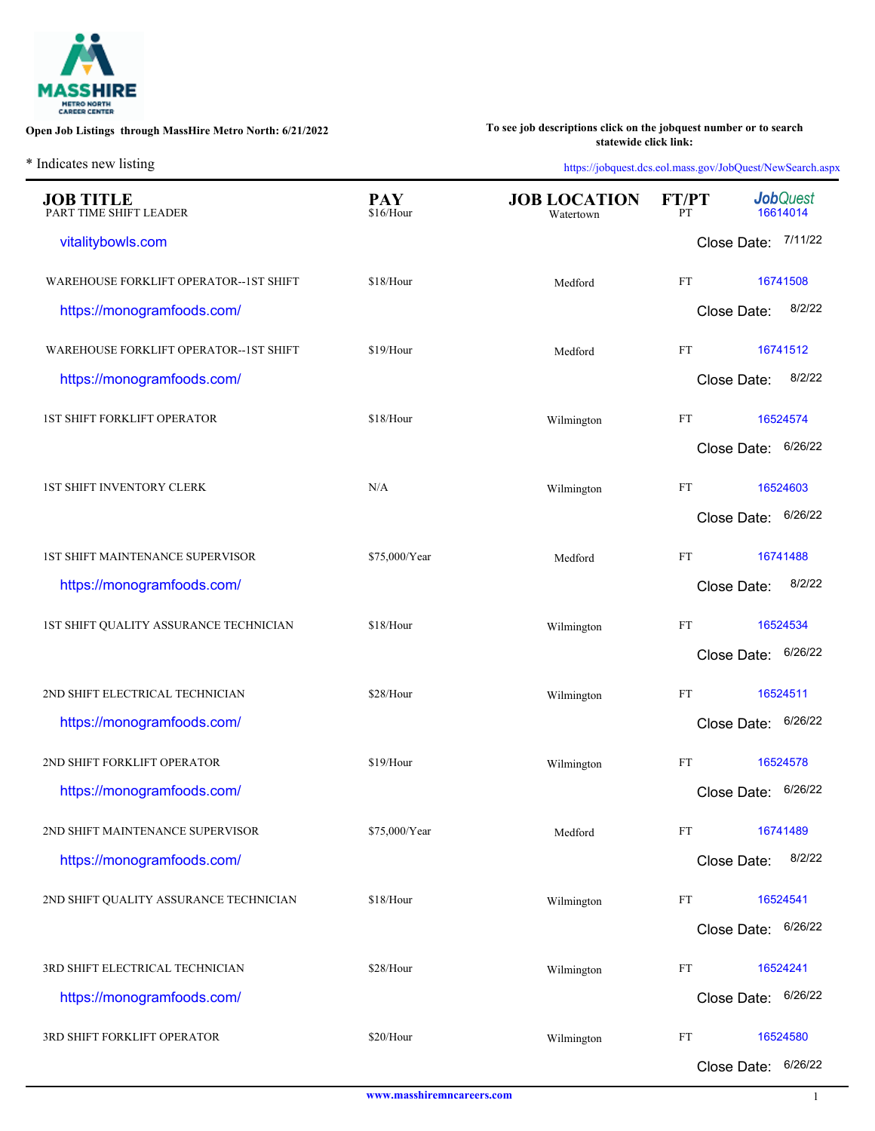

**[To see job descriptions click on the jobquest number or to search](http://web.detma.org/JobQuest/Search.aspx)  statewide click link:**

\* Indicates new listing

|                                            |                         | $\overline{\phantom{a}}$<br>$\mathbf{r}$ |                            |                              |
|--------------------------------------------|-------------------------|------------------------------------------|----------------------------|------------------------------|
| <b>JOB TITLE</b><br>PART TIME SHIFT LEADER | <b>PAY</b><br>\$16/Hour | <b>JOB LOCATION</b><br>Watertown         | FT/PT<br>PТ                | <b>Job</b> Quest<br>16614014 |
| vitalitybowls.com                          |                         |                                          |                            | Close Date: 7/11/22          |
| WAREHOUSE FORKLIFT OPERATOR--1ST SHIFT     | \$18/Hour               | Medford                                  | FT                         | 16741508                     |
| https://monogramfoods.com/                 |                         |                                          | Close Date:                | 8/2/22                       |
| WAREHOUSE FORKLIFT OPERATOR--1ST SHIFT     | \$19/Hour               | Medford                                  | FT                         | 16741512                     |
| https://monogramfoods.com/                 |                         |                                          | Close Date:                | 8/2/22                       |
| <b>1ST SHIFT FORKLIFT OPERATOR</b>         | \$18/Hour               | Wilmington                               | FT                         | 16524574                     |
|                                            |                         |                                          | Close Date:                | 6/26/22                      |
| <b>1ST SHIFT INVENTORY CLERK</b>           | N/A                     | Wilmington                               | FT                         | 16524603                     |
|                                            |                         |                                          | Close Date:                | 6/26/22                      |
| 1ST SHIFT MAINTENANCE SUPERVISOR           | \$75,000/Year           | Medford                                  | FT                         | 16741488                     |
| https://monogramfoods.com/                 |                         |                                          | Close Date:                | 8/2/22                       |
| 1ST SHIFT QUALITY ASSURANCE TECHNICIAN     | \$18/Hour               | Wilmington                               | FT                         | 16524534                     |
|                                            |                         |                                          | Close Date:                | 6/26/22                      |
| 2ND SHIFT ELECTRICAL TECHNICIAN            | \$28/Hour               | Wilmington                               | $\mathop{\rm FT}\nolimits$ | 16524511                     |
| https://monogramfoods.com/                 |                         |                                          | Close Date:                | 6/26/22                      |
| 2ND SHIFT FORKLIFT OPERATOR                | \$19/Hour               | Wilmington                               | FT                         | 16524578                     |
| https://monogramfoods.com/                 |                         |                                          | Close Date:                | 6/26/22                      |
| 2ND SHIFT MAINTENANCE SUPERVISOR           | \$75,000/Year           | Medford                                  | $\mathop{\rm FT}\nolimits$ | 16741489                     |
| https://monogramfoods.com/                 |                         |                                          | Close Date:                | 8/2/22                       |
| 2ND SHIFT QUALITY ASSURANCE TECHNICIAN     | \$18/Hour               | Wilmington                               | FT                         | 16524541                     |
|                                            |                         |                                          |                            | Close Date: 6/26/22          |
| 3RD SHIFT ELECTRICAL TECHNICIAN            | \$28/Hour               | Wilmington                               | FT                         | 16524241                     |
| https://monogramfoods.com/                 |                         |                                          |                            | 6/26/22<br>Close Date:       |
| 3RD SHIFT FORKLIFT OPERATOR                | \$20/Hour               | Wilmington                               | FT                         | 16524580                     |
|                                            |                         |                                          | Close Date:                | 6/26/22                      |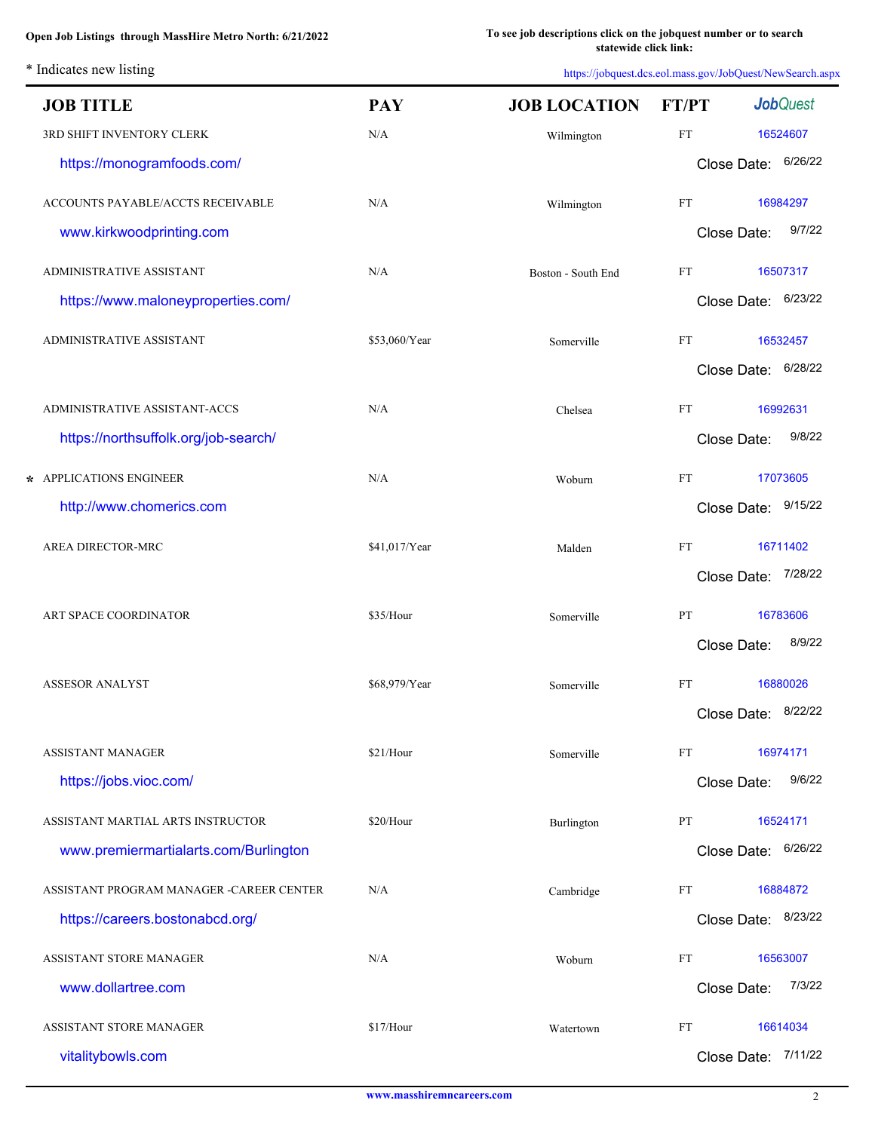L.

| <b>JOB TITLE</b>                         | <b>PAY</b>    | <b>JOB LOCATION</b> | <b>FT/PT</b>               | <b>Job</b> Quest       |
|------------------------------------------|---------------|---------------------|----------------------------|------------------------|
| 3RD SHIFT INVENTORY CLERK                | N/A           | Wilmington          | $\mathop{\rm FT}\nolimits$ | 16524607               |
| https://monogramfoods.com/               |               |                     |                            | 6/26/22<br>Close Date: |
| ACCOUNTS PAYABLE/ACCTS RECEIVABLE        | N/A           | Wilmington          | FT                         | 16984297               |
| www.kirkwoodprinting.com                 |               |                     |                            | 9/7/22<br>Close Date:  |
| ADMINISTRATIVE ASSISTANT                 | N/A           | Boston - South End  | FT                         | 16507317               |
| https://www.maloneyproperties.com/       |               |                     |                            | 6/23/22<br>Close Date: |
| ADMINISTRATIVE ASSISTANT                 | \$53,060/Year | Somerville          | FT                         | 16532457               |
|                                          |               |                     |                            | 6/28/22<br>Close Date: |
| ADMINISTRATIVE ASSISTANT-ACCS            | N/A           | Chelsea             | FT                         | 16992631               |
| https://northsuffolk.org/job-search/     |               |                     |                            | 9/8/22<br>Close Date:  |
| * APPLICATIONS ENGINEER                  | N/A           | Woburn              | FT                         | 17073605               |
| http://www.chomerics.com                 |               |                     |                            | Close Date: 9/15/22    |
| AREA DIRECTOR-MRC                        | \$41,017/Year | Malden              | FT                         | 16711402               |
|                                          |               |                     |                            | 7/28/22<br>Close Date: |
| ART SPACE COORDINATOR                    | \$35/Hour     | Somerville          | PT                         | 16783606               |
|                                          |               |                     |                            | 8/9/22<br>Close Date:  |
| <b>ASSESOR ANALYST</b>                   | \$68,979/Year | Somerville          | FT                         | 16880026               |
|                                          |               |                     |                            | Close Date: 8/22/22    |
| <b>ASSISTANT MANAGER</b>                 | \$21/Hour     | Somerville          | <b>FT</b>                  | 16974171               |
| https://jobs.vioc.com/                   |               |                     |                            | 9/6/22<br>Close Date:  |
| ASSISTANT MARTIAL ARTS INSTRUCTOR        | \$20/Hour     | Burlington          | PT                         | 16524171               |
| www.premiermartialarts.com/Burlington    |               |                     |                            | 6/26/22<br>Close Date: |
| ASSISTANT PROGRAM MANAGER -CAREER CENTER | N/A           | Cambridge           | FT                         | 16884872               |
| https://careers.bostonabcd.org/          |               |                     |                            | Close Date: 8/23/22    |
| ASSISTANT STORE MANAGER                  | N/A           | Woburn              | FT                         | 16563007               |
| www.dollartree.com                       |               |                     |                            | 7/3/22<br>Close Date:  |
| ASSISTANT STORE MANAGER                  | \$17/Hour     | Watertown           | FT                         | 16614034               |
| vitalitybowls.com                        |               |                     |                            | Close Date: 7/11/22    |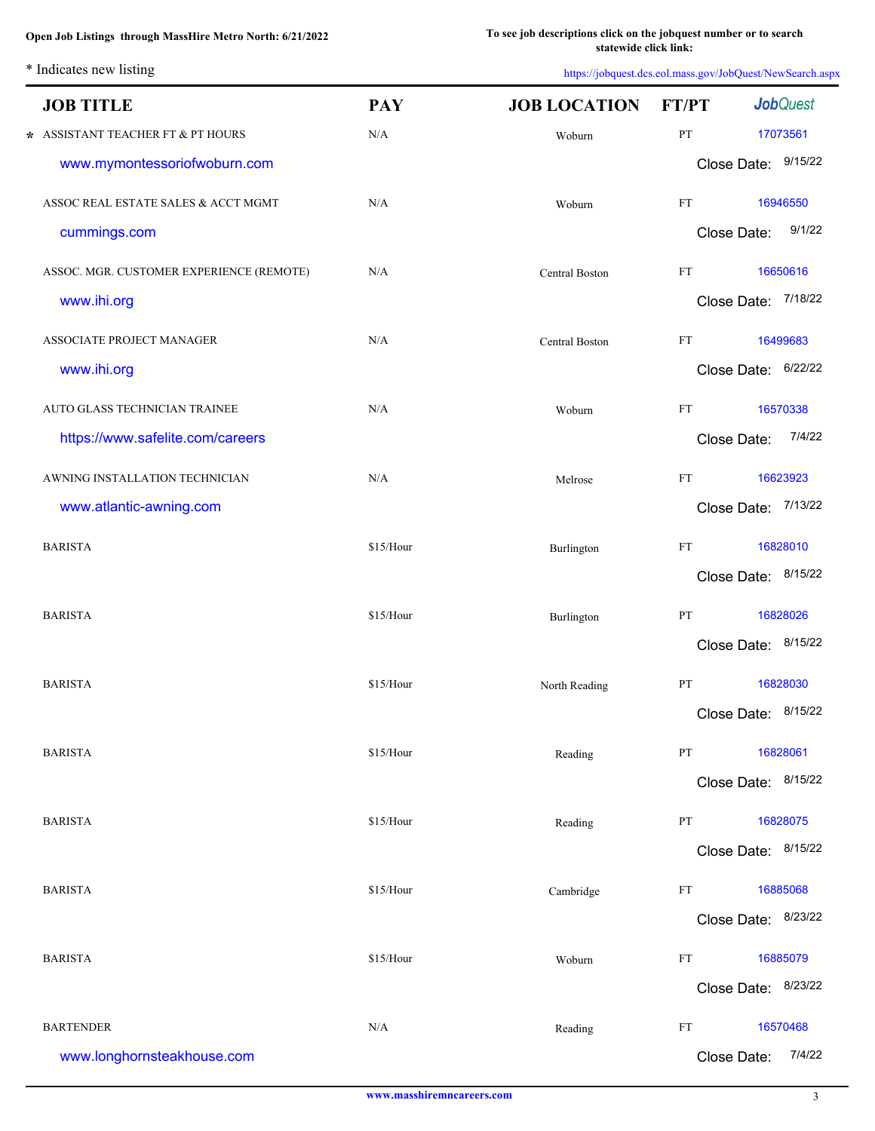\* Indicates new listing

| <b>JOB TITLE</b>                         | <b>PAY</b> | <b>JOB LOCATION</b> | <b>FT/PT</b>               | <b>Job</b> Quest       |
|------------------------------------------|------------|---------------------|----------------------------|------------------------|
| $\star$ ASSISTANT TEACHER FT & PT HOURS  | $\rm N/A$  | Woburn              | $\mathbf{PT}$              | 17073561               |
| www.mymontessoriofwoburn.com             |            |                     |                            | Close Date: 9/15/22    |
| ASSOC REAL ESTATE SALES & ACCT MGMT      | N/A        | Woburn              | $\mathop{\rm FT}\nolimits$ | 16946550               |
| cummings.com                             |            |                     |                            | 9/1/22<br>Close Date:  |
| ASSOC. MGR. CUSTOMER EXPERIENCE (REMOTE) | N/A        | Central Boston      | FT                         | 16650616               |
| www.ihi.org                              |            |                     |                            | Close Date: 7/18/22    |
| ASSOCIATE PROJECT MANAGER                | N/A        | Central Boston      | $\mathop{\rm FT}\nolimits$ | 16499683               |
| www.ihi.org                              |            |                     |                            | Close Date: 6/22/22    |
| AUTO GLASS TECHNICIAN TRAINEE            | N/A        | Woburn              | FT                         | 16570338               |
| https://www.safelite.com/careers         |            |                     |                            | 7/4/22<br>Close Date:  |
| AWNING INSTALLATION TECHNICIAN           | N/A        | Melrose             | $\mathop{\rm FT}\nolimits$ | 16623923               |
| www.atlantic-awning.com                  |            |                     |                            | 7/13/22<br>Close Date: |
| <b>BARISTA</b>                           | \$15/Hour  | Burlington          | $\mathop{\rm FT}\nolimits$ | 16828010               |
|                                          |            |                     |                            | Close Date: 8/15/22    |
| <b>BARISTA</b>                           | \$15/Hour  | Burlington          | $\mathbf{PT}$              | 16828026               |
|                                          |            |                     |                            | 8/15/22<br>Close Date: |
| <b>BARISTA</b>                           | \$15/Hour  | North Reading       | PT                         | 16828030               |
|                                          |            |                     |                            | Close Date: 8/15/22    |
| <b>BARISTA</b>                           | \$15/Hour  | Reading             | PT                         | 16828061               |
|                                          |            |                     |                            | Close Date: 8/15/22    |
| <b>BARISTA</b>                           | \$15/Hour  | Reading             | PT                         | 16828075               |
|                                          |            |                     |                            | Close Date: 8/15/22    |
| <b>BARISTA</b>                           | \$15/Hour  | Cambridge           | FT                         | 16885068               |
|                                          |            |                     |                            | Close Date: 8/23/22    |
| <b>BARISTA</b>                           | \$15/Hour  | Woburn              | FT                         | 16885079               |
|                                          |            |                     |                            | Close Date: 8/23/22    |
| <b>BARTENDER</b>                         | N/A        | Reading             | FT                         | 16570468               |
| www.longhornsteakhouse.com               |            |                     |                            | 7/4/22<br>Close Date:  |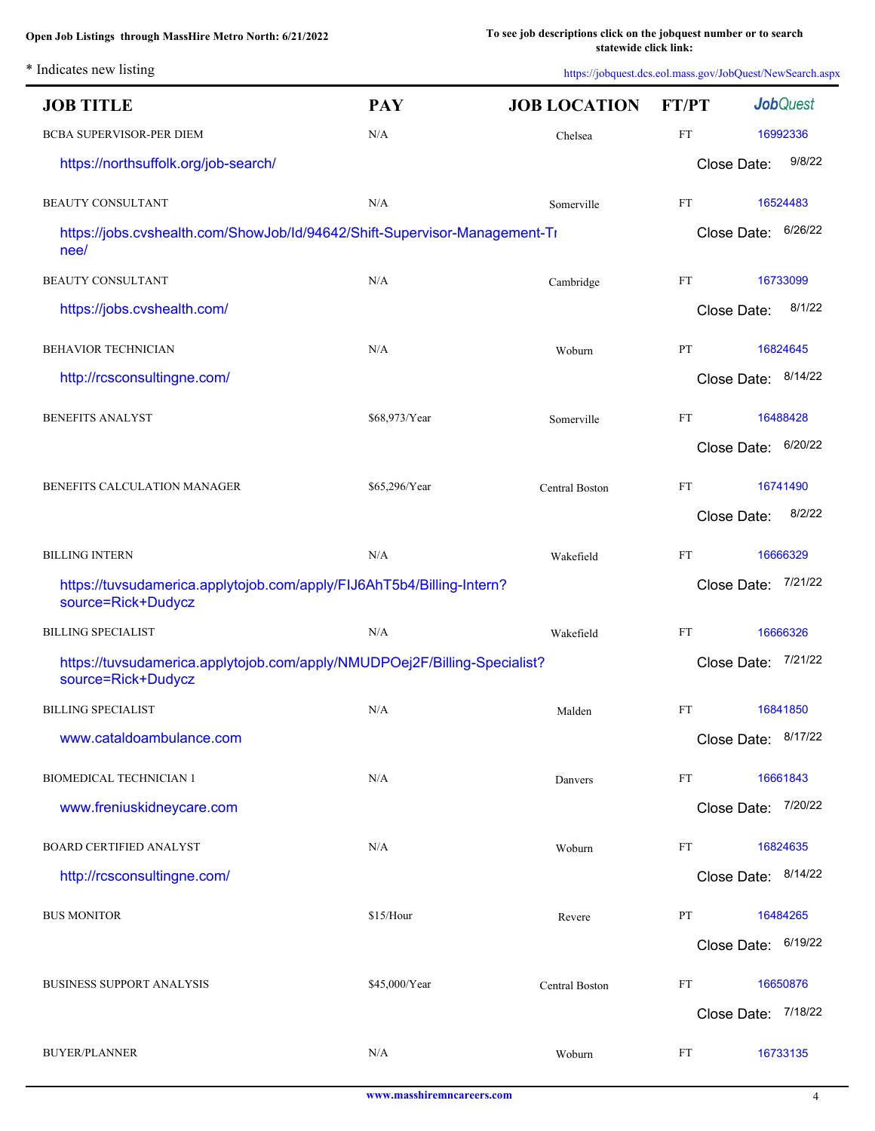**[To see job descriptions click on the jobquest number or to search](http://web.detma.org/JobQuest/Search.aspx)  statewide click link:**

\* Indicates new listing

| <b>JOB TITLE</b>                                                                                | <b>PAY</b>    | <b>JOB LOCATION</b> | <b>FT/PT</b> | <b>Job</b> Quest    |
|-------------------------------------------------------------------------------------------------|---------------|---------------------|--------------|---------------------|
| BCBA SUPERVISOR-PER DIEM                                                                        | N/A           | Chelsea             | <b>FT</b>    | 16992336            |
| https://northsuffolk.org/job-search/                                                            |               |                     | Close Date:  | 9/8/22              |
| <b>BEAUTY CONSULTANT</b>                                                                        | N/A           | Somerville          | FT           | 16524483            |
| https://jobs.cvshealth.com/ShowJob/Id/94642/Shift-Supervisor-Management-Ti<br>nee/              |               |                     | Close Date:  | 6/26/22             |
| <b>BEAUTY CONSULTANT</b>                                                                        | N/A           | Cambridge           | FT           | 16733099            |
| https://jobs.cvshealth.com/                                                                     |               |                     | Close Date:  | 8/1/22              |
| <b>BEHAVIOR TECHNICIAN</b>                                                                      | N/A           | Woburn              | PT           | 16824645            |
| http://rcsconsultingne.com/                                                                     |               |                     |              | Close Date: 8/14/22 |
| <b>BENEFITS ANALYST</b>                                                                         | \$68,973/Year | Somerville          | FT           | 16488428            |
|                                                                                                 |               |                     |              | Close Date: 6/20/22 |
| BENEFITS CALCULATION MANAGER                                                                    | \$65,296/Year | Central Boston      | FT           | 16741490            |
|                                                                                                 |               |                     | Close Date:  | 8/2/22              |
| <b>BILLING INTERN</b>                                                                           | N/A           | Wakefield           | FT           | 16666329            |
| https://tuvsudamerica.applytojob.com/apply/FIJ6AhT5b4/Billing-Intern?<br>source=Rick+Dudycz     |               |                     | Close Date:  | 7/21/22             |
| <b>BILLING SPECIALIST</b>                                                                       | N/A           | Wakefield           | FT           | 16666326            |
| https://tuvsudamerica.applytojob.com/apply/NMUDPOej2F/Billing-Specialist?<br>source=Rick+Dudycz |               |                     | Close Date:  | 7/21/22             |
| <b>BILLING SPECIALIST</b>                                                                       | N/A           | Malden              | <b>FT</b>    | 16841850            |
| www.cataldoambulance.com                                                                        |               |                     |              | Close Date: 8/17/22 |
| <b>BIOMEDICAL TECHNICIAN 1</b>                                                                  | N/A           | Danvers             | FT           | 16661843            |
| www.freniuskidneycare.com                                                                       |               |                     |              | Close Date: 7/20/22 |
| <b>BOARD CERTIFIED ANALYST</b>                                                                  | N/A           | Woburn              | FT           | 16824635            |
| http://rcsconsultingne.com/                                                                     |               |                     |              | Close Date: 8/14/22 |
| <b>BUS MONITOR</b>                                                                              | \$15/Hour     | Revere              | PT           | 16484265            |
|                                                                                                 |               |                     |              | Close Date: 6/19/22 |
| <b>BUSINESS SUPPORT ANALYSIS</b>                                                                | \$45,000/Year | Central Boston      | FT           | 16650876            |
|                                                                                                 |               |                     |              | Close Date: 7/18/22 |
| <b>BUYER/PLANNER</b>                                                                            | N/A           | Woburn              | FT           | 16733135            |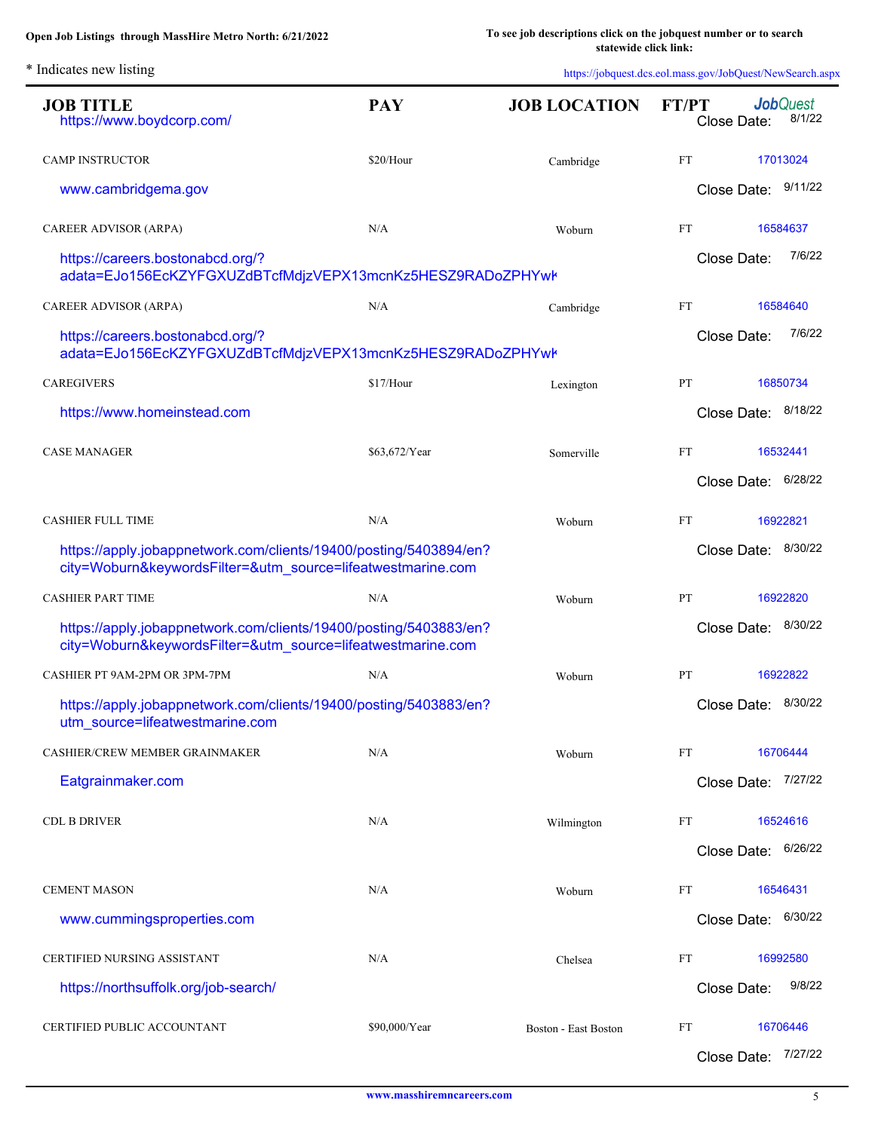L.

| <b>JOB TITLE</b><br>https://www.boydcorp.com/                                                                                    | <b>PAY</b>    | <b>JOB LOCATION</b>         | <b>Job</b> Quest<br>FT/PT<br>8/1/22<br>Close Date: |                     |
|----------------------------------------------------------------------------------------------------------------------------------|---------------|-----------------------------|----------------------------------------------------|---------------------|
| <b>CAMP INSTRUCTOR</b>                                                                                                           | \$20/Hour     | Cambridge                   | FT                                                 | 17013024            |
| www.cambridgema.gov                                                                                                              |               |                             | Close Date: 9/11/22                                |                     |
| CAREER ADVISOR (ARPA)                                                                                                            | N/A           | Woburn                      | FT                                                 | 16584637            |
| https://careers.bostonabcd.org/?<br>adata=EJo156EcKZYFGXUZdBTcfMdjzVEPX13mcnKz5HESZ9RADoZPHYwł                                   |               |                             | Close Date:                                        | 7/6/22              |
| CAREER ADVISOR (ARPA)                                                                                                            | N/A           | Cambridge                   | FT                                                 | 16584640            |
| https://careers.bostonabcd.org/?<br>adata=EJo156EcKZYFGXUZdBTcfMdjzVEPX13mcnKz5HESZ9RADoZPHYwł                                   |               |                             | Close Date:                                        | 7/6/22              |
| <b>CAREGIVERS</b>                                                                                                                | \$17/Hour     | Lexington                   | PT                                                 | 16850734            |
| https://www.homeinstead.com                                                                                                      |               |                             | Close Date: 8/18/22                                |                     |
| <b>CASE MANAGER</b>                                                                                                              | \$63,672/Year | Somerville                  | FT                                                 | 16532441            |
|                                                                                                                                  |               |                             | Close Date:                                        | 6/28/22             |
| <b>CASHIER FULL TIME</b>                                                                                                         | N/A           | Woburn                      | FT                                                 | 16922821            |
| https://apply.jobappnetwork.com/clients/19400/posting/5403894/en?<br>city=Woburn&keywordsFilter=&utm_source=lifeatwestmarine.com |               |                             | Close Date:                                        | 8/30/22             |
| <b>CASHIER PART TIME</b>                                                                                                         | N/A           | Woburn                      | PT                                                 | 16922820            |
| https://apply.jobappnetwork.com/clients/19400/posting/5403883/en?<br>city=Woburn&keywordsFilter=&utm_source=lifeatwestmarine.com |               |                             | Close Date:                                        | 8/30/22             |
| CASHIER PT 9AM-2PM OR 3PM-7PM                                                                                                    | N/A           | Woburn                      | PT                                                 | 16922822            |
| https://apply.jobappnetwork.com/clients/19400/posting/5403883/en?<br>utm_source=lifeatwestmarine.com                             |               |                             | Close Date:                                        | 8/30/22             |
| CASHIER/CREW MEMBER GRAINMAKER                                                                                                   | N/A           | Woburn                      | FT                                                 | 16706444            |
| Eatgrainmaker.com                                                                                                                |               |                             | Close Date:                                        | 7/27/22             |
| <b>CDL B DRIVER</b>                                                                                                              | N/A           | Wilmington                  | FT                                                 | 16524616            |
|                                                                                                                                  |               |                             | Close Date:                                        | 6/26/22             |
| <b>CEMENT MASON</b>                                                                                                              | N/A           | Woburn                      | FT                                                 | 16546431            |
| www.cummingsproperties.com                                                                                                       |               |                             | Close Date:                                        | 6/30/22             |
| <b>CERTIFIED NURSING ASSISTANT</b>                                                                                               | N/A           | Chelsea                     | FT                                                 | 16992580            |
| https://northsuffolk.org/job-search/                                                                                             |               |                             | Close Date:                                        | 9/8/22              |
| CERTIFIED PUBLIC ACCOUNTANT                                                                                                      | \$90,000/Year | <b>Boston - East Boston</b> | FT<br>Close Date:                                  | 16706446<br>7/27/22 |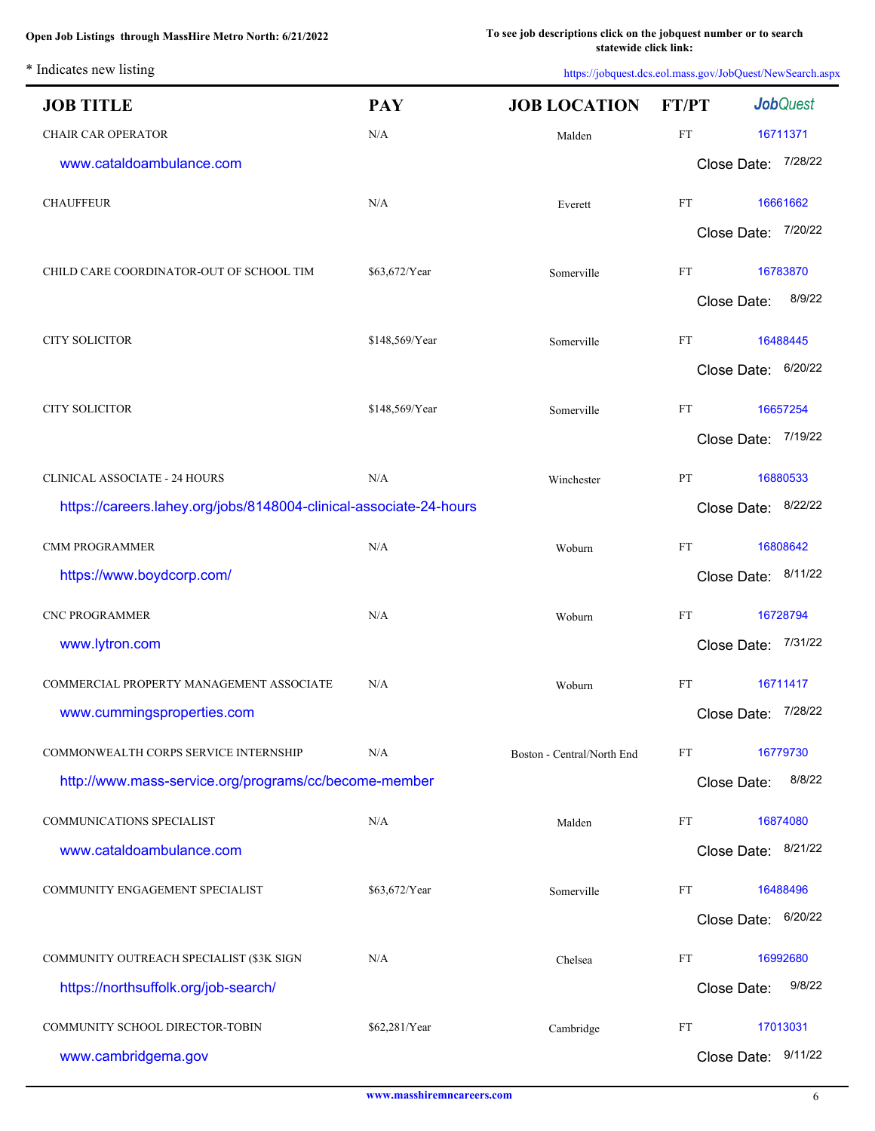\* Indicates new listing

L.

| <b>JOB TITLE</b>                                                   | <b>PAY</b>     | <b>JOB LOCATION</b>        | <b>FT/PT</b> | <b>Job</b> Quest    |
|--------------------------------------------------------------------|----------------|----------------------------|--------------|---------------------|
| <b>CHAIR CAR OPERATOR</b>                                          | N/A            | Malden                     | <b>FT</b>    | 16711371            |
| www.cataldoambulance.com                                           |                |                            |              | Close Date: 7/28/22 |
| <b>CHAUFFEUR</b>                                                   | N/A            | Everett                    | FT           | 16661662            |
|                                                                    |                |                            |              | Close Date: 7/20/22 |
| CHILD CARE COORDINATOR-OUT OF SCHOOL TIM                           | \$63,672/Year  | Somerville                 | FT           | 16783870            |
|                                                                    |                |                            | Close Date:  | 8/9/22              |
|                                                                    |                |                            |              |                     |
| <b>CITY SOLICITOR</b>                                              | \$148,569/Year | Somerville                 | FT           | 16488445            |
|                                                                    |                |                            |              | Close Date: 6/20/22 |
| <b>CITY SOLICITOR</b>                                              | \$148,569/Year | Somerville                 | FT           | 16657254            |
|                                                                    |                |                            |              | Close Date: 7/19/22 |
| <b>CLINICAL ASSOCIATE - 24 HOURS</b>                               | N/A            | Winchester                 | PT           | 16880533            |
| https://careers.lahey.org/jobs/8148004-clinical-associate-24-hours |                |                            |              | Close Date: 8/22/22 |
| <b>CMM PROGRAMMER</b>                                              | N/A            | Woburn                     | FT           | 16808642            |
| https://www.boydcorp.com/                                          |                |                            |              | Close Date: 8/11/22 |
| CNC PROGRAMMER                                                     | N/A            | Woburn                     | FT           | 16728794            |
| www.lytron.com                                                     |                |                            | Close Date:  | 7/31/22             |
|                                                                    |                |                            |              |                     |
| COMMERCIAL PROPERTY MANAGEMENT ASSOCIATE                           | N/A            | Woburn                     | FT           | 16711417            |
| www.cummingsproperties.com                                         |                |                            |              | Close Date: 7/28/22 |
| COMMONWEALTH CORPS SERVICE INTERNSHIP                              | N/A            | Boston - Central/North End | FT           | 16779730            |
| http://www.mass-service.org/programs/cc/become-member              |                |                            | Close Date:  | 8/8/22              |
| COMMUNICATIONS SPECIALIST                                          | N/A            | Malden                     | FT           | 16874080            |
| www.cataldoambulance.com                                           |                |                            | Close Date:  | 8/21/22             |
| COMMUNITY ENGAGEMENT SPECIALIST                                    | \$63,672/Year  | Somerville                 | FT           | 16488496            |
|                                                                    |                |                            | Close Date:  | 6/20/22             |
|                                                                    |                |                            |              |                     |
| COMMUNITY OUTREACH SPECIALIST (\$3K SIGN                           | N/A            | Chelsea                    | FT           | 16992680<br>9/8/22  |
| https://northsuffolk.org/job-search/                               |                |                            | Close Date:  |                     |
| COMMUNITY SCHOOL DIRECTOR-TOBIN                                    | \$62,281/Year  | Cambridge                  | FT           | 17013031            |
| www.cambridgema.gov                                                |                |                            |              | Close Date: 9/11/22 |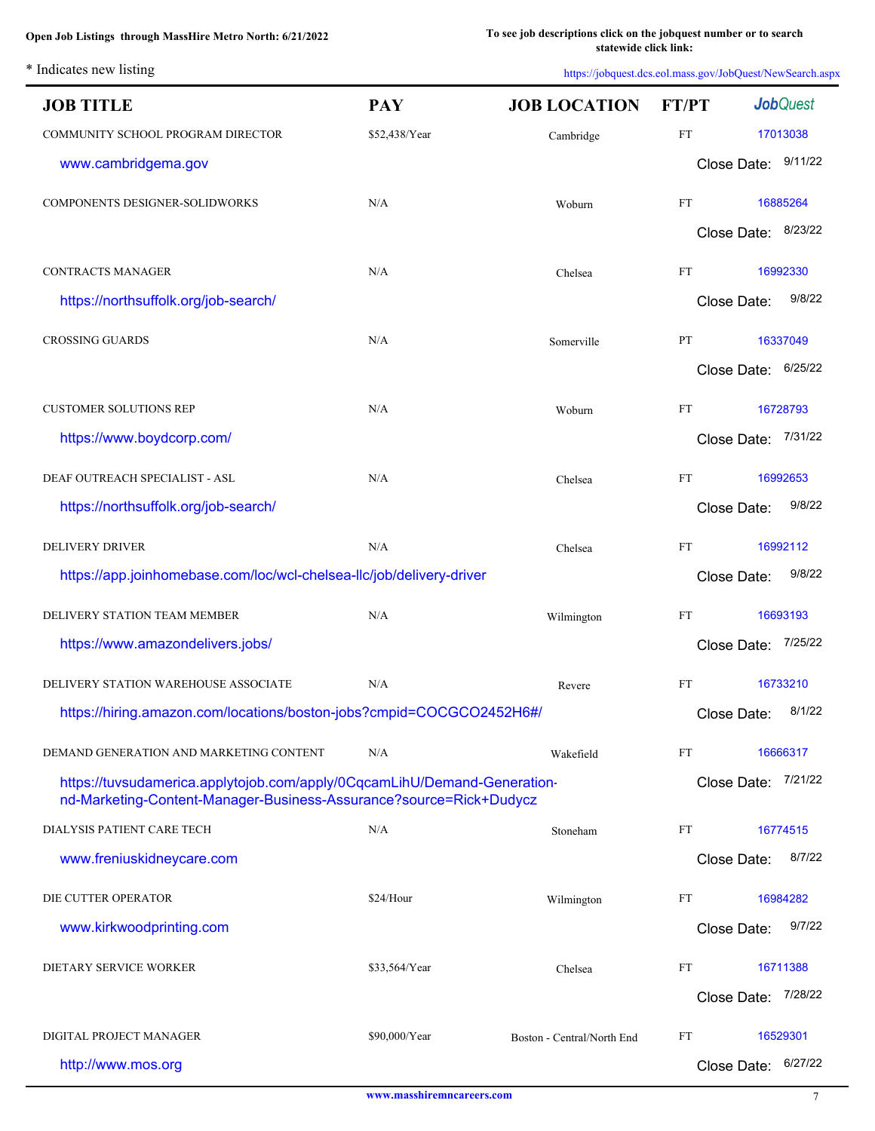\* Indicates new listing

| <b>JOB TITLE</b>                                                                                                                               | <b>PAY</b>    | <b>JOB LOCATION</b>        | FT/PT     | <b>Job</b> Quest       |
|------------------------------------------------------------------------------------------------------------------------------------------------|---------------|----------------------------|-----------|------------------------|
| COMMUNITY SCHOOL PROGRAM DIRECTOR                                                                                                              | \$52,438/Year | Cambridge                  | <b>FT</b> | 17013038               |
| www.cambridgema.gov                                                                                                                            |               |                            |           | Close Date: 9/11/22    |
| COMPONENTS DESIGNER-SOLIDWORKS                                                                                                                 | N/A           | Woburn                     | FT        | 16885264               |
|                                                                                                                                                |               |                            |           | Close Date: 8/23/22    |
| <b>CONTRACTS MANAGER</b>                                                                                                                       | N/A           | Chelsea                    | FT        | 16992330               |
| https://northsuffolk.org/job-search/                                                                                                           |               |                            |           | 9/8/22<br>Close Date:  |
| <b>CROSSING GUARDS</b>                                                                                                                         | N/A           | Somerville                 | PT        | 16337049               |
|                                                                                                                                                |               |                            |           | 6/25/22<br>Close Date: |
| <b>CUSTOMER SOLUTIONS REP</b>                                                                                                                  | N/A           | Woburn                     | FT        | 16728793               |
| https://www.boydcorp.com/                                                                                                                      |               |                            |           | Close Date:<br>7/31/22 |
| DEAF OUTREACH SPECIALIST - ASL                                                                                                                 | N/A           | Chelsea                    | <b>FT</b> | 16992653               |
| https://northsuffolk.org/job-search/                                                                                                           |               |                            |           | 9/8/22<br>Close Date:  |
| <b>DELIVERY DRIVER</b>                                                                                                                         | N/A           | Chelsea                    | <b>FT</b> | 16992112               |
| https://app.joinhomebase.com/loc/wcl-chelsea-llc/job/delivery-driver                                                                           |               |                            |           | 9/8/22<br>Close Date:  |
| DELIVERY STATION TEAM MEMBER                                                                                                                   | N/A           | Wilmington                 | <b>FT</b> | 16693193               |
| https://www.amazondelivers.jobs/                                                                                                               |               |                            |           | 7/25/22<br>Close Date: |
| DELIVERY STATION WAREHOUSE ASSOCIATE                                                                                                           | N/A           | Revere                     | FT        | 16733210               |
| https://hiring.amazon.com/locations/boston-jobs?cmpid=COCGCO2452H6#/                                                                           |               |                            |           | 8/1/22<br>Close Date:  |
| DEMAND GENERATION AND MARKETING CONTENT                                                                                                        | N/A           | Wakefield                  | FT        | 16666317               |
| https://tuvsudamerica.applytojob.com/apply/0CqcamLihU/Demand-Generation-<br>nd-Marketing-Content-Manager-Business-Assurance?source=Rick+Dudycz |               |                            |           | Close Date: 7/21/22    |
| DIALYSIS PATIENT CARE TECH                                                                                                                     | N/A           | Stoneham                   | FT        | 16774515               |
| www.freniuskidneycare.com                                                                                                                      |               |                            |           | 8/7/22<br>Close Date:  |
| DIE CUTTER OPERATOR                                                                                                                            | \$24/Hour     | Wilmington                 | FT        | 16984282               |
| www.kirkwoodprinting.com                                                                                                                       |               |                            |           | 9/7/22<br>Close Date:  |
| DIETARY SERVICE WORKER                                                                                                                         | \$33,564/Year | Chelsea                    | FT        | 16711388               |
|                                                                                                                                                |               |                            |           | 7/28/22<br>Close Date: |
| DIGITAL PROJECT MANAGER                                                                                                                        | \$90,000/Year | Boston - Central/North End | FT        | 16529301               |
| http://www.mos.org                                                                                                                             |               |                            |           | 6/27/22<br>Close Date: |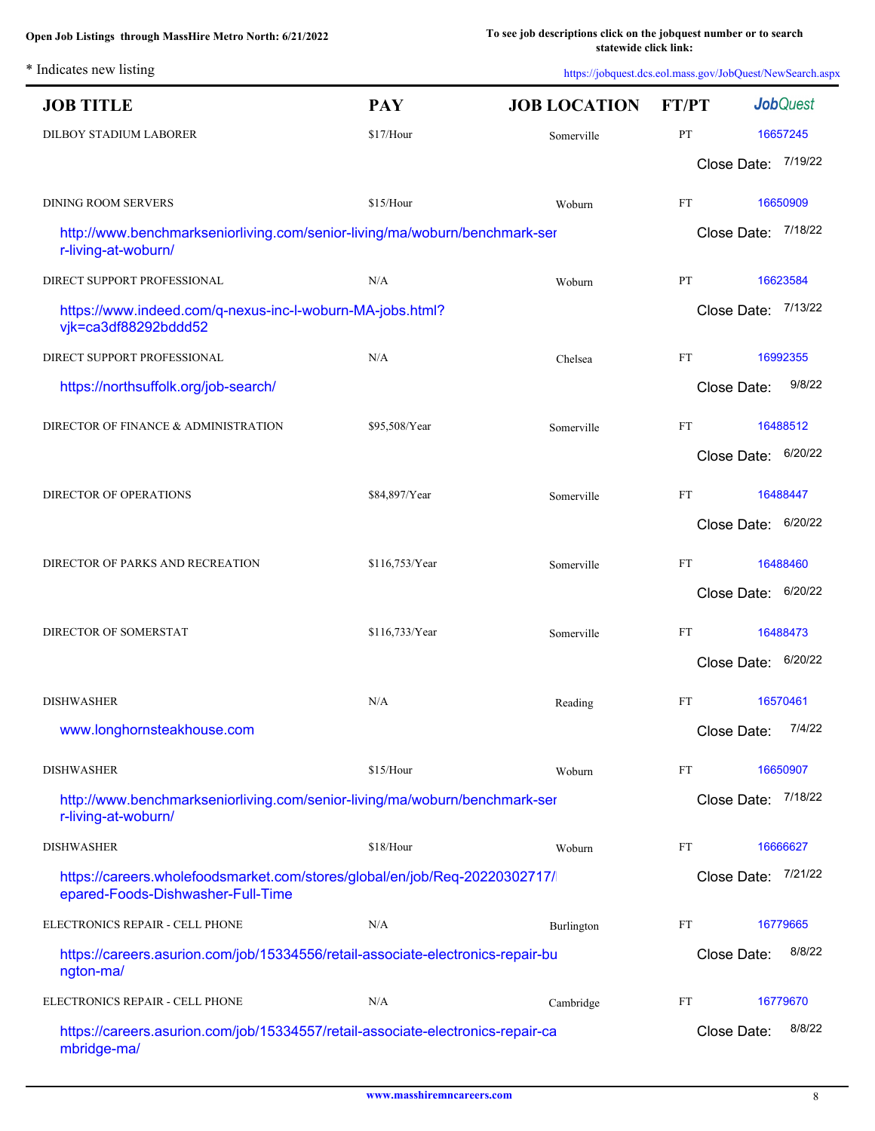| <b>JOB TITLE</b>                                                                                                | <b>PAY</b>     | <b>JOB LOCATION</b> | FT/PT     | <b>Job</b> Quest       |
|-----------------------------------------------------------------------------------------------------------------|----------------|---------------------|-----------|------------------------|
| DILBOY STADIUM LABORER                                                                                          | \$17/Hour      | Somerville          | PT        | 16657245               |
|                                                                                                                 |                |                     |           | Close Date: 7/19/22    |
| <b>DINING ROOM SERVERS</b>                                                                                      | \$15/Hour      | Woburn              | <b>FT</b> | 16650909               |
| http://www.benchmarkseniorliving.com/senior-living/ma/woburn/benchmark-ser<br>r-living-at-woburn/               |                |                     |           | Close Date: 7/18/22    |
| DIRECT SUPPORT PROFESSIONAL                                                                                     | N/A            | Woburn              | PT        | 16623584               |
| https://www.indeed.com/q-nexus-inc-l-woburn-MA-jobs.html?<br>vjk=ca3df88292bddd52                               |                |                     |           | 7/13/22<br>Close Date: |
| DIRECT SUPPORT PROFESSIONAL                                                                                     | N/A            | Chelsea             | <b>FT</b> | 16992355               |
| https://northsuffolk.org/job-search/                                                                            |                |                     |           | 9/8/22<br>Close Date:  |
| DIRECTOR OF FINANCE & ADMINISTRATION                                                                            | \$95,508/Year  | Somerville          | <b>FT</b> | 16488512               |
|                                                                                                                 |                |                     |           | 6/20/22<br>Close Date: |
| DIRECTOR OF OPERATIONS                                                                                          | \$84,897/Year  | Somerville          | <b>FT</b> | 16488447               |
|                                                                                                                 |                |                     |           | 6/20/22<br>Close Date: |
| DIRECTOR OF PARKS AND RECREATION                                                                                | \$116,753/Year | Somerville          | <b>FT</b> | 16488460               |
|                                                                                                                 |                |                     |           | 6/20/22<br>Close Date: |
| DIRECTOR OF SOMERSTAT                                                                                           | \$116,733/Year | Somerville          | FT        | 16488473               |
|                                                                                                                 |                |                     |           | 6/20/22<br>Close Date: |
|                                                                                                                 |                |                     |           |                        |
| <b>DISHWASHER</b>                                                                                               | N/A            | Reading             | FT        | 16570461               |
| www.longhornsteakhouse.com                                                                                      |                |                     |           | 7/4/22<br>Close Date:  |
| <b>DISHWASHER</b>                                                                                               | \$15/Hour      | Woburn              | FT        | 16650907               |
| http://www.benchmarkseniorliving.com/senior-living/ma/woburn/benchmark-ser<br>r-living-at-woburn/               |                |                     |           | Close Date: 7/18/22    |
| <b>DISHWASHER</b>                                                                                               | \$18/Hour      | Woburn              | FT        | 16666627               |
| https://careers.wholefoodsmarket.com/stores/global/en/job/Req-20220302717/<br>epared-Foods-Dishwasher-Full-Time |                |                     |           | Close Date: 7/21/22    |
| ELECTRONICS REPAIR - CELL PHONE                                                                                 | N/A            | Burlington          | FT        | 16779665               |
| https://careers.asurion.com/job/15334556/retail-associate-electronics-repair-bu<br>ngton-ma/                    |                |                     |           | 8/8/22<br>Close Date:  |
| ELECTRONICS REPAIR - CELL PHONE                                                                                 | N/A            | Cambridge           | FT        | 16779670               |
| https://careers.asurion.com/job/15334557/retail-associate-electronics-repair-ca<br>mbridge-ma/                  |                |                     |           | 8/8/22<br>Close Date:  |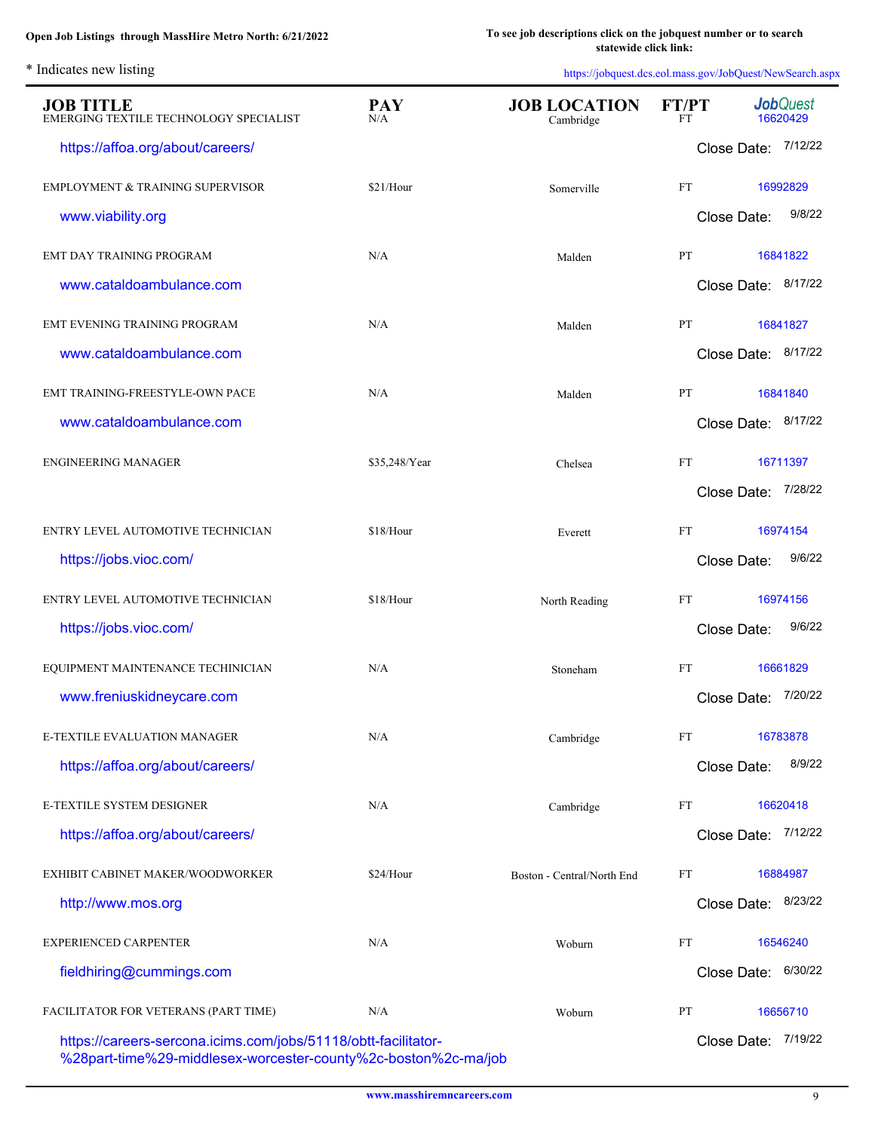L.

| <b>JOB TITLE</b><br>EMERGING TEXTILE TECHNOLOGY SPECIALIST                                                                       | <b>PAY</b><br>N/A | <b>JOB LOCATION</b><br>Cambridge | <b>FT/PT</b><br>FT | <b>Job</b> Quest<br>16620429 |
|----------------------------------------------------------------------------------------------------------------------------------|-------------------|----------------------------------|--------------------|------------------------------|
| https://affoa.org/about/careers/                                                                                                 |                   |                                  | Close Date:        | 7/12/22                      |
| <b>EMPLOYMENT &amp; TRAINING SUPERVISOR</b>                                                                                      | \$21/Hour         | Somerville                       | <b>FT</b>          | 16992829                     |
| www.viability.org                                                                                                                |                   |                                  | Close Date:        | 9/8/22                       |
| <b>EMT DAY TRAINING PROGRAM</b>                                                                                                  | N/A               | Malden                           | PT                 | 16841822                     |
| www.cataldoambulance.com                                                                                                         |                   |                                  |                    | Close Date: 8/17/22          |
| EMT EVENING TRAINING PROGRAM                                                                                                     | N/A               | Malden                           | PT                 | 16841827                     |
| www.cataldoambulance.com                                                                                                         |                   |                                  |                    | Close Date: 8/17/22          |
| EMT TRAINING-FREESTYLE-OWN PACE                                                                                                  | N/A               | Malden                           | <b>PT</b>          | 16841840                     |
| www.cataldoambulance.com                                                                                                         |                   |                                  |                    | Close Date: 8/17/22          |
| <b>ENGINEERING MANAGER</b>                                                                                                       | \$35,248/Year     | Chelsea                          | <b>FT</b>          | 16711397                     |
|                                                                                                                                  |                   |                                  |                    | Close Date: 7/28/22          |
| ENTRY LEVEL AUTOMOTIVE TECHNICIAN                                                                                                | \$18/Hour         | Everett                          | <b>FT</b>          | 16974154                     |
| https://jobs.vioc.com/                                                                                                           |                   |                                  | Close Date:        | 9/6/22                       |
| ENTRY LEVEL AUTOMOTIVE TECHNICIAN                                                                                                | \$18/Hour         | North Reading                    | <b>FT</b>          | 16974156                     |
| https://jobs.vioc.com/                                                                                                           |                   |                                  | Close Date:        | 9/6/22                       |
| EQUIPMENT MAINTENANCE TECHINICIAN                                                                                                | N/A               | Stoneham                         | FT                 | 16661829                     |
| www.freniuskidneycare.com                                                                                                        |                   |                                  | Close Date:        | 7/20/22                      |
| <b>E-TEXTILE EVALUATION MANAGER</b>                                                                                              | N/A               | Cambridge                        | FT                 | 16783878                     |
| https://affoa.org/about/careers/                                                                                                 |                   |                                  | Close Date:        | 8/9/22                       |
| E-TEXTILE SYSTEM DESIGNER                                                                                                        | N/A               | Cambridge                        | FT                 | 16620418                     |
| https://affoa.org/about/careers/                                                                                                 |                   |                                  |                    | Close Date: 7/12/22          |
| EXHIBIT CABINET MAKER/WOODWORKER                                                                                                 | \$24/Hour         | Boston - Central/North End       | FT                 | 16884987                     |
| http://www.mos.org                                                                                                               |                   |                                  |                    | Close Date: 8/23/22          |
| EXPERIENCED CARPENTER                                                                                                            | N/A               | Woburn                           | FT                 | 16546240                     |
| fieldhiring@cummings.com                                                                                                         |                   |                                  |                    | Close Date: 6/30/22          |
| FACILITATOR FOR VETERANS (PART TIME)                                                                                             | N/A               | Woburn                           | PT                 | 16656710                     |
| https://careers-sercona.icims.com/jobs/51118/obtt-facilitator-<br>%28part-time%29-middlesex-worcester-county%2c-boston%2c-ma/job |                   |                                  |                    | Close Date: 7/19/22          |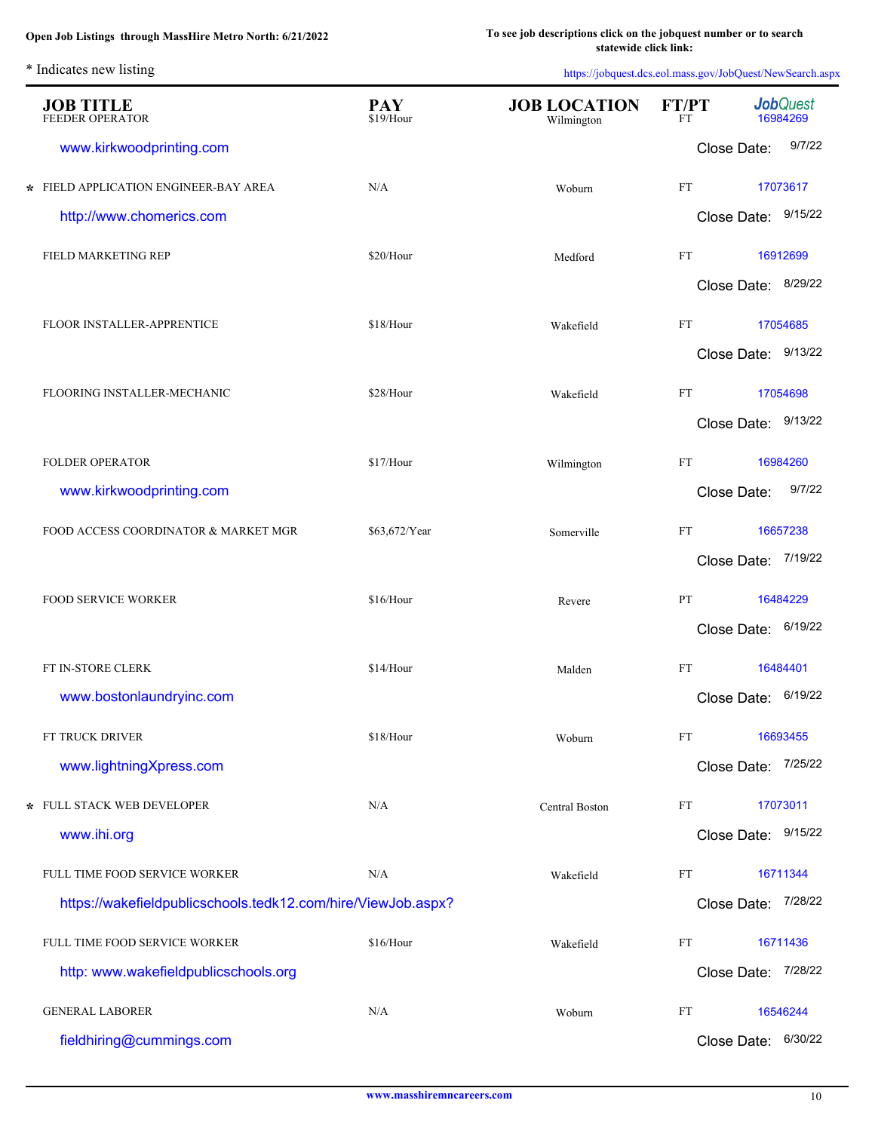| <b>JOB TITLE</b><br><b>FEEDER OPERATOR</b>                   | <b>PAY</b><br>\$19/Hour | <b>JOB LOCATION</b><br>Wilmington | FT/PT<br>FT                | <b>Job</b> Quest<br>16984269 |
|--------------------------------------------------------------|-------------------------|-----------------------------------|----------------------------|------------------------------|
| www.kirkwoodprinting.com                                     |                         |                                   |                            | 9/7/22<br>Close Date:        |
| * FIELD APPLICATION ENGINEER-BAY AREA                        | N/A                     | Woburn                            | $\mathop{\rm FT}\nolimits$ | 17073617                     |
| http://www.chomerics.com                                     |                         |                                   |                            | Close Date: 9/15/22          |
| FIELD MARKETING REP                                          | \$20/Hour               | Medford                           | FT                         | 16912699                     |
|                                                              |                         |                                   |                            | Close Date: 8/29/22          |
| FLOOR INSTALLER-APPRENTICE                                   | \$18/Hour               | Wakefield                         | $\mathop{\rm FT}\nolimits$ | 17054685                     |
|                                                              |                         |                                   |                            | Close Date: 9/13/22          |
| FLOORING INSTALLER-MECHANIC                                  | \$28/Hour               | Wakefield                         | $\mathop{\rm FT}\nolimits$ | 17054698                     |
|                                                              |                         |                                   |                            | Close Date: 9/13/22          |
| FOLDER OPERATOR                                              | \$17/Hour               | Wilmington                        | $\mathop{\rm FT}\nolimits$ | 16984260                     |
| www.kirkwoodprinting.com                                     |                         |                                   |                            | 9/7/22<br>Close Date:        |
| FOOD ACCESS COORDINATOR & MARKET MGR                         | \$63,672/Year           | Somerville                        | FT                         | 16657238                     |
|                                                              |                         |                                   |                            | Close Date: 7/19/22          |
| <b>FOOD SERVICE WORKER</b>                                   | \$16/Hour               | Revere                            | PT                         | 16484229                     |
|                                                              |                         |                                   |                            | Close Date: 6/19/22          |
| FT IN-STORE CLERK                                            | \$14/Hour               | Malden                            | FT                         | 16484401                     |
| www.bostonlaundryinc.com                                     |                         |                                   |                            | Close Date: 6/19/22          |
| FT TRUCK DRIVER                                              | \$18/Hour               | Woburn                            | FT                         | 16693455                     |
| www.lightningXpress.com                                      |                         |                                   |                            | 7/25/22<br>Close Date:       |
| * FULL STACK WEB DEVELOPER                                   | N/A                     | Central Boston                    | FT                         | 17073011                     |
| www.ihi.org                                                  |                         |                                   |                            | Close Date: 9/15/22          |
| FULL TIME FOOD SERVICE WORKER                                | N/A                     | Wakefield                         | FT                         | 16711344                     |
| https://wakefieldpublicschools.tedk12.com/hire/ViewJob.aspx? |                         |                                   |                            | 7/28/22<br>Close Date:       |
| FULL TIME FOOD SERVICE WORKER                                | \$16/Hour               | Wakefield                         | FT                         | 16711436                     |
| http: www.wakefieldpublicschools.org                         |                         |                                   |                            | 7/28/22<br>Close Date:       |
| <b>GENERAL LABORER</b>                                       | N/A                     | Woburn                            | FT                         | 16546244                     |
| fieldhiring@cummings.com                                     |                         |                                   |                            | 6/30/22<br>Close Date:       |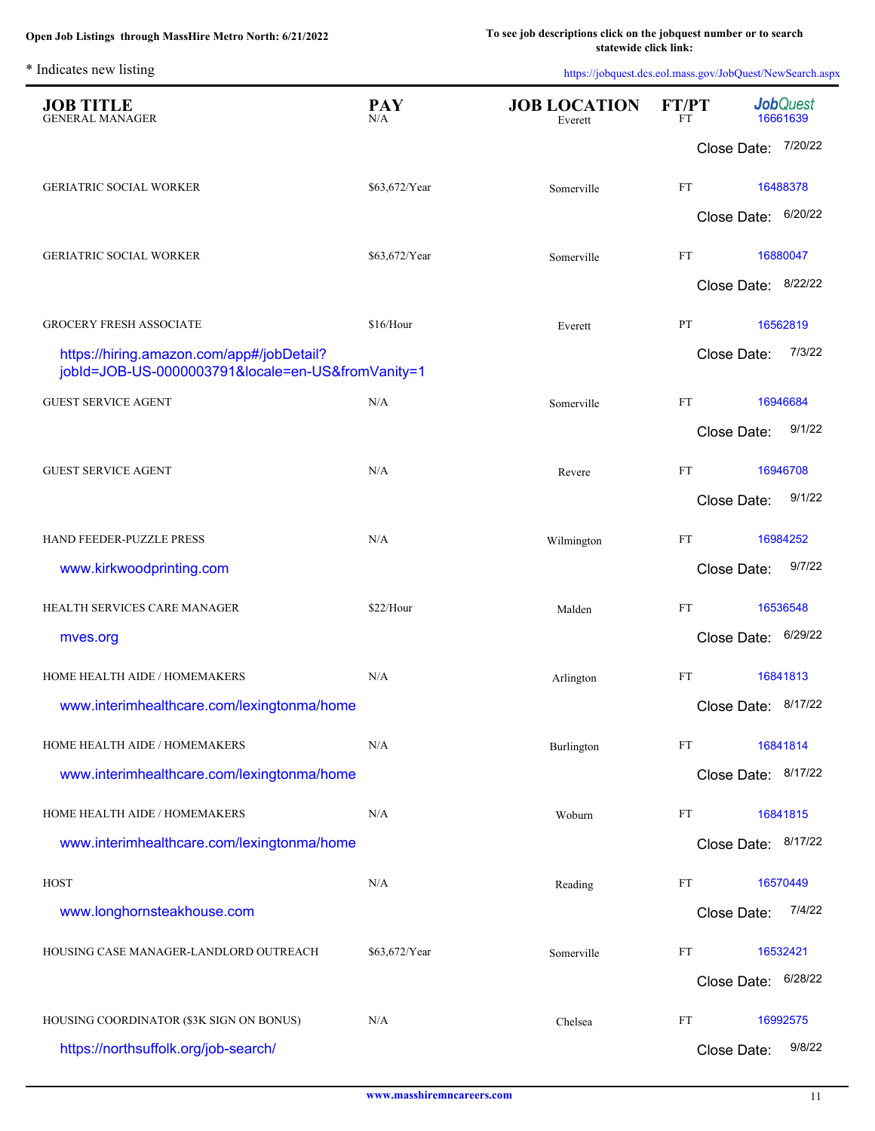| <b>JOB TITLE</b><br><b>GENERAL MANAGER</b>                                                     | <b>PAY</b><br>N/A | <b>JOB LOCATION</b><br>Everett | FT/PT<br><b>FT</b> | <b>Job</b> Quest<br>16661639 |          |
|------------------------------------------------------------------------------------------------|-------------------|--------------------------------|--------------------|------------------------------|----------|
|                                                                                                |                   |                                |                    | Close Date: 7/20/22          |          |
| <b>GERIATRIC SOCIAL WORKER</b>                                                                 | \$63,672/Year     | Somerville                     | FT                 |                              | 16488378 |
|                                                                                                |                   |                                |                    | Close Date: 6/20/22          |          |
| <b>GERIATRIC SOCIAL WORKER</b>                                                                 | \$63,672/Year     | Somerville                     | FT                 |                              | 16880047 |
|                                                                                                |                   |                                |                    | Close Date: 8/22/22          |          |
| <b>GROCERY FRESH ASSOCIATE</b>                                                                 | \$16/Hour         | Everett                        | PT                 |                              | 16562819 |
| https://hiring.amazon.com/app#/jobDetail?<br>jobId=JOB-US-0000003791&locale=en-US&fromVanity=1 |                   |                                |                    | Close Date:                  | 7/3/22   |
| <b>GUEST SERVICE AGENT</b>                                                                     | N/A               | Somerville                     | <b>FT</b>          |                              | 16946684 |
|                                                                                                |                   |                                |                    | Close Date:                  | 9/1/22   |
| <b>GUEST SERVICE AGENT</b>                                                                     | N/A               | Revere                         | FT                 |                              | 16946708 |
|                                                                                                |                   |                                |                    | Close Date:                  | 9/1/22   |
| HAND FEEDER-PUZZLE PRESS                                                                       | N/A               | Wilmington                     | FT                 |                              | 16984252 |
| www.kirkwoodprinting.com                                                                       |                   |                                |                    | Close Date:                  | 9/7/22   |
| HEALTH SERVICES CARE MANAGER                                                                   | \$22/Hour         | Malden                         | <b>FT</b>          |                              | 16536548 |
| mves.org                                                                                       |                   |                                |                    | Close Date:                  | 6/29/22  |
| HOME HEALTH AIDE / HOMEMAKERS                                                                  | $\rm N/A$         | Arlington                      | <b>FT</b>          |                              | 16841813 |
| www.interimhealthcare.com/lexingtonma/home                                                     |                   |                                |                    | Close Date: 8/17/22          |          |
| HOME HEALTH AIDE / HOMEMAKERS                                                                  | N/A               | Burlington                     | FT                 |                              | 16841814 |
| www.interimhealthcare.com/lexingtonma/home                                                     |                   |                                |                    | Close Date: 8/17/22          |          |
| HOME HEALTH AIDE / HOMEMAKERS                                                                  | N/A               | Woburn                         | FT                 |                              | 16841815 |
| www.interimhealthcare.com/lexingtonma/home                                                     |                   |                                |                    | Close Date: 8/17/22          |          |
| <b>HOST</b>                                                                                    | N/A               | Reading                        | FT                 |                              | 16570449 |
| www.longhornsteakhouse.com                                                                     |                   |                                |                    | Close Date:                  | 7/4/22   |
| HOUSING CASE MANAGER-LANDLORD OUTREACH                                                         | \$63,672/Year     | Somerville                     | FT                 |                              | 16532421 |
|                                                                                                |                   |                                |                    | Close Date: 6/28/22          |          |
| HOUSING COORDINATOR (\$3K SIGN ON BONUS)                                                       | N/A               | Chelsea                        | FT                 |                              | 16992575 |
| https://northsuffolk.org/job-search/                                                           |                   |                                |                    | Close Date:                  | 9/8/22   |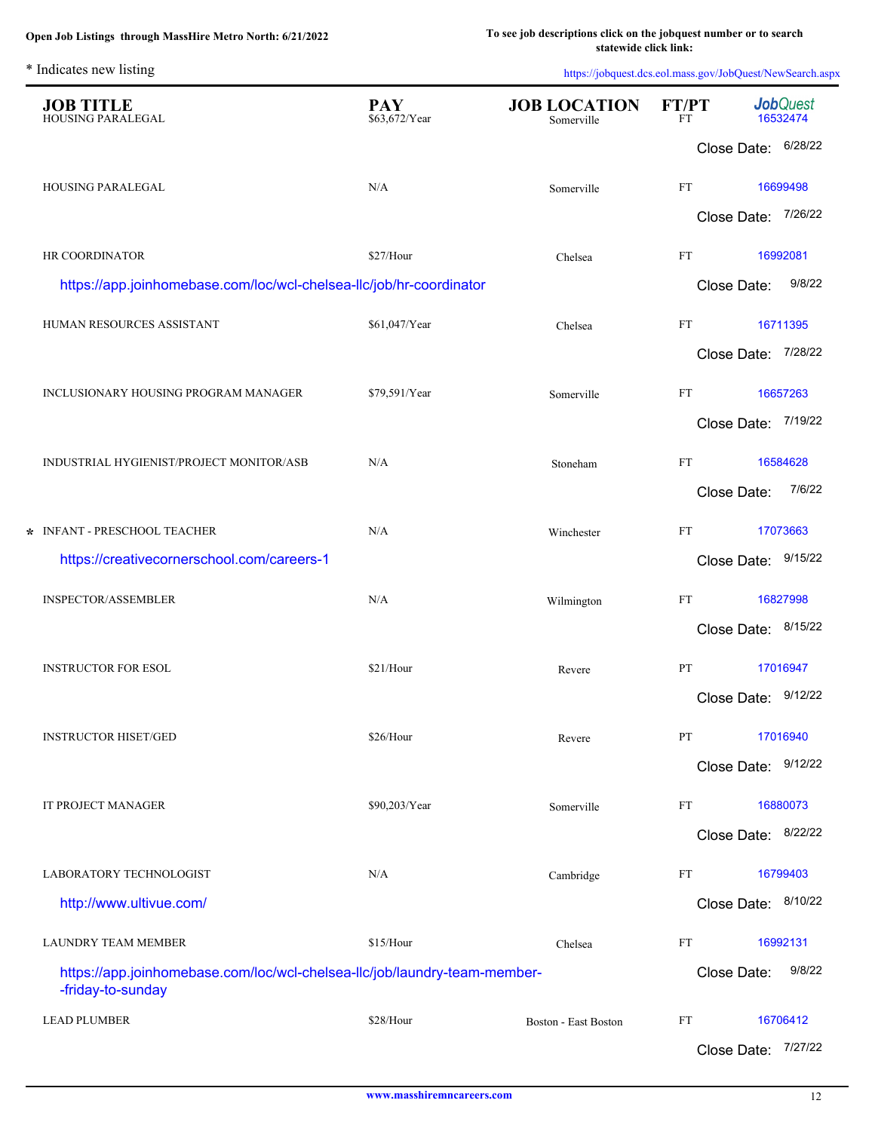L.

| <b>JOB TITLE</b><br>HOUSING PARALEGAL                                                          | <b>PAY</b><br>\$63,672/Year | <b>JOB LOCATION</b><br>Somerville | FT/PT<br>FT | <b>Job</b> Quest<br>16532474 |                     |
|------------------------------------------------------------------------------------------------|-----------------------------|-----------------------------------|-------------|------------------------------|---------------------|
|                                                                                                |                             |                                   |             |                              | Close Date: 6/28/22 |
| HOUSING PARALEGAL                                                                              | N/A                         | Somerville                        | FT          |                              | 16699498            |
|                                                                                                |                             |                                   |             | Close Date:                  | 7/26/22             |
| HR COORDINATOR                                                                                 | \$27/Hour                   | Chelsea                           | FT          |                              | 16992081            |
| https://app.joinhomebase.com/loc/wcl-chelsea-llc/job/hr-coordinator                            |                             |                                   |             | Close Date:                  | 9/8/22              |
| HUMAN RESOURCES ASSISTANT                                                                      | \$61,047/Year               | Chelsea                           | FT          |                              | 16711395            |
|                                                                                                |                             |                                   |             |                              | Close Date: 7/28/22 |
| INCLUSIONARY HOUSING PROGRAM MANAGER                                                           | \$79,591/Year               | Somerville                        | FT          |                              | 16657263            |
|                                                                                                |                             |                                   |             |                              | Close Date: 7/19/22 |
| INDUSTRIAL HYGIENIST/PROJECT MONITOR/ASB                                                       | N/A                         | Stoneham                          | FT          |                              | 16584628            |
|                                                                                                |                             |                                   |             | Close Date:                  | 7/6/22              |
| * INFANT - PRESCHOOL TEACHER                                                                   | N/A                         | Winchester                        | FT          |                              | 17073663            |
| https://creativecornerschool.com/careers-1                                                     |                             |                                   |             |                              | Close Date: 9/15/22 |
| INSPECTOR/ASSEMBLER                                                                            | N/A                         | Wilmington                        | FT          |                              | 16827998            |
|                                                                                                |                             |                                   |             |                              | Close Date: 8/15/22 |
| <b>INSTRUCTOR FOR ESOL</b>                                                                     | \$21/Hour                   | Revere                            | PT          |                              | 17016947            |
|                                                                                                |                             |                                   |             |                              | Close Date: 9/12/22 |
| <b>INSTRUCTOR HISET/GED</b>                                                                    | \$26/Hour                   | Revere                            | PT          |                              | 17016940            |
|                                                                                                |                             |                                   |             |                              | Close Date: 9/12/22 |
| IT PROJECT MANAGER                                                                             | \$90,203/Year               | Somerville                        | FT          |                              | 16880073            |
|                                                                                                |                             |                                   |             |                              | Close Date: 8/22/22 |
| LABORATORY TECHNOLOGIST                                                                        | N/A                         | Cambridge                         | FT          |                              | 16799403            |
| http://www.ultivue.com/                                                                        |                             |                                   |             |                              | Close Date: 8/10/22 |
| LAUNDRY TEAM MEMBER                                                                            | \$15/Hour                   | Chelsea                           | FT          |                              | 16992131            |
| https://app.joinhomebase.com/loc/wcl-chelsea-llc/job/laundry-team-member-<br>-friday-to-sunday |                             |                                   |             | Close Date:                  | 9/8/22              |
| <b>LEAD PLUMBER</b>                                                                            | \$28/Hour                   | Boston - East Boston              | FT          |                              | 16706412            |
|                                                                                                |                             |                                   |             |                              | Close Date: 7/27/22 |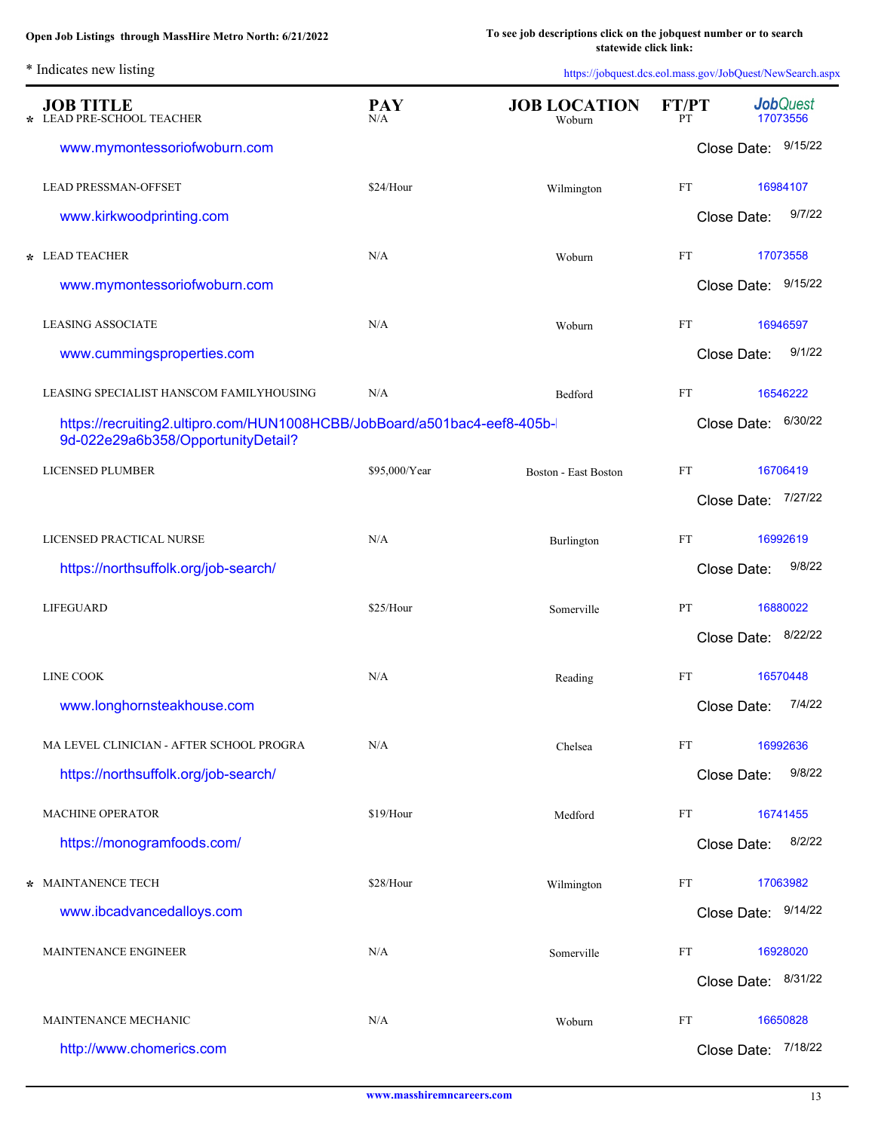\* Indicates new listing

| ÷ | <b>JOB TITLE</b><br>LEAD PRE-SCHOOL TEACHER                                                                    | <b>PAY</b><br>N/A | <b>JOB LOCATION</b><br>Woburn | <b>FT/PT</b><br>PT         |                     | <b>Job</b> Quest<br>17073556 |
|---|----------------------------------------------------------------------------------------------------------------|-------------------|-------------------------------|----------------------------|---------------------|------------------------------|
|   | www.mymontessoriofwoburn.com                                                                                   |                   |                               |                            | Close Date: 9/15/22 |                              |
|   | <b>LEAD PRESSMAN-OFFSET</b>                                                                                    | \$24/Hour         | Wilmington                    | FT                         |                     | 16984107                     |
|   | www.kirkwoodprinting.com                                                                                       |                   |                               |                            | Close Date:         | 9/7/22                       |
|   | * LEAD TEACHER                                                                                                 | N/A               | Woburn                        | FT                         |                     | 17073558                     |
|   | www.mymontessoriofwoburn.com                                                                                   |                   |                               |                            | Close Date: 9/15/22 |                              |
|   | <b>LEASING ASSOCIATE</b>                                                                                       | N/A               | Woburn                        | <b>FT</b>                  |                     | 16946597                     |
|   | www.cummingsproperties.com                                                                                     |                   |                               |                            | Close Date:         | 9/1/22                       |
|   | LEASING SPECIALIST HANSCOM FAMILYHOUSING                                                                       | N/A               | Bedford                       | <b>FT</b>                  |                     | 16546222                     |
|   | https://recruiting2.ultipro.com/HUN1008HCBB/JobBoard/a501bac4-eef8-405b-<br>9d-022e29a6b358/OpportunityDetail? |                   |                               |                            | Close Date: 6/30/22 |                              |
|   | <b>LICENSED PLUMBER</b>                                                                                        | \$95,000/Year     | <b>Boston - East Boston</b>   | FT                         |                     | 16706419                     |
|   |                                                                                                                |                   |                               |                            | Close Date: 7/27/22 |                              |
|   | LICENSED PRACTICAL NURSE                                                                                       | N/A               | Burlington                    | FT                         |                     | 16992619                     |
|   | https://northsuffolk.org/job-search/                                                                           |                   |                               |                            | Close Date:         | 9/8/22                       |
|   | <b>LIFEGUARD</b>                                                                                               | \$25/Hour         | Somerville                    | PT                         |                     | 16880022                     |
|   |                                                                                                                |                   |                               |                            | Close Date:         | 8/22/22                      |
|   | <b>LINE COOK</b>                                                                                               | N/A               | Reading                       | <b>FT</b>                  |                     | 16570448                     |
|   | www.longhornsteakhouse.com                                                                                     |                   |                               |                            | Close Date:         | 7/4/22                       |
|   | MA LEVEL CLINICIAN - AFTER SCHOOL PROGRA                                                                       | N/A               | Chelsea                       | FT                         |                     | 16992636                     |
|   | https://northsuffolk.org/job-search/                                                                           |                   |                               |                            | Close Date:         | 9/8/22                       |
|   | <b>MACHINE OPERATOR</b>                                                                                        | \$19/Hour         | Medford                       | <b>FT</b>                  |                     | 16741455                     |
|   | https://monogramfoods.com/                                                                                     |                   |                               |                            | Close Date:         | 8/2/22                       |
|   | * MAINTANENCE TECH                                                                                             | \$28/Hour         | Wilmington                    | $\mathop{\rm FT}\nolimits$ |                     | 17063982                     |
|   | www.ibcadvancedalloys.com                                                                                      |                   |                               |                            | Close Date: 9/14/22 |                              |
|   | MAINTENANCE ENGINEER                                                                                           | N/A               | Somerville                    | FT                         |                     | 16928020                     |
|   |                                                                                                                |                   |                               |                            | Close Date: 8/31/22 |                              |
|   | MAINTENANCE MECHANIC                                                                                           | N/A               | Woburn                        | FT                         |                     | 16650828                     |
|   | http://www.chomerics.com                                                                                       |                   |                               |                            | Close Date: 7/18/22 |                              |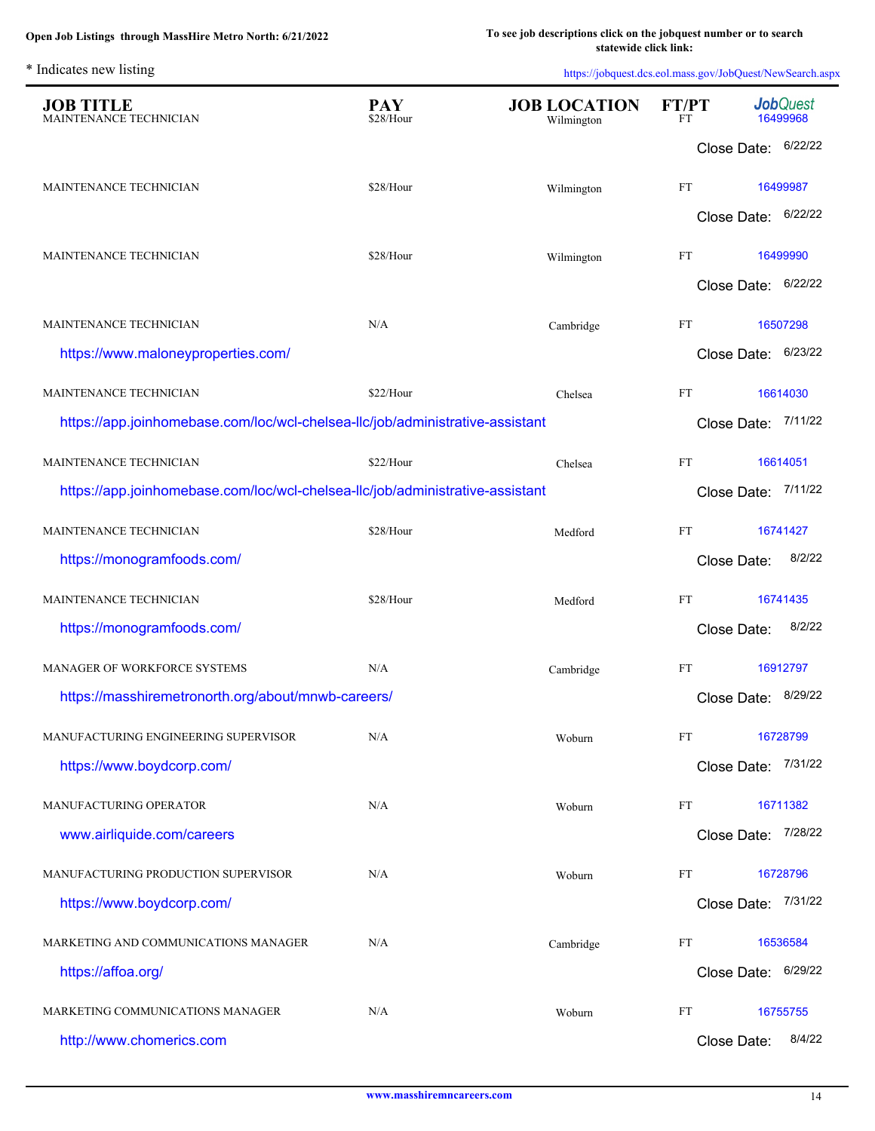| <b>JOB TITLE</b><br>MAINTENANCE TECHNICIAN                                    | <b>PAY</b><br>\$28/Hour | <b>JOB LOCATION</b><br>Wilmington | <b>FT/PT</b><br><b>FT</b>  | <b>Job</b> Quest<br>16499968 |
|-------------------------------------------------------------------------------|-------------------------|-----------------------------------|----------------------------|------------------------------|
|                                                                               |                         |                                   |                            | Close Date: 6/22/22          |
| MAINTENANCE TECHNICIAN                                                        | \$28/Hour               | Wilmington                        | <b>FT</b>                  | 16499987                     |
|                                                                               |                         |                                   |                            | Close Date: 6/22/22          |
| MAINTENANCE TECHNICIAN                                                        | \$28/Hour               | Wilmington                        | FT                         | 16499990                     |
|                                                                               |                         |                                   |                            | Close Date: 6/22/22          |
| MAINTENANCE TECHNICIAN                                                        | N/A                     | Cambridge                         | $\mathop{\rm FT}\nolimits$ | 16507298                     |
| https://www.maloneyproperties.com/                                            |                         |                                   |                            | Close Date: 6/23/22          |
| MAINTENANCE TECHNICIAN                                                        | \$22/Hour               | Chelsea                           | <b>FT</b>                  | 16614030                     |
| https://app.joinhomebase.com/loc/wcl-chelsea-llc/job/administrative-assistant |                         |                                   |                            | Close Date: 7/11/22          |
| MAINTENANCE TECHNICIAN                                                        | \$22/Hour               | Chelsea                           | $\mathop{\rm FT}\nolimits$ | 16614051                     |
| https://app.joinhomebase.com/loc/wcl-chelsea-llc/job/administrative-assistant |                         |                                   |                            | Close Date: 7/11/22          |
| MAINTENANCE TECHNICIAN                                                        | \$28/Hour               | Medford                           | FT                         | 16741427                     |
| https://monogramfoods.com/                                                    |                         |                                   |                            | 8/2/22<br>Close Date:        |
| MAINTENANCE TECHNICIAN                                                        | \$28/Hour               | Medford                           | FT                         | 16741435                     |
| https://monogramfoods.com/                                                    |                         |                                   |                            | 8/2/22<br>Close Date:        |
| MANAGER OF WORKFORCE SYSTEMS                                                  | N/A                     | Cambridge                         | FT                         | 16912797                     |
| https://masshiremetronorth.org/about/mnwb-careers/                            |                         |                                   |                            | Close Date: 8/29/22          |
| MANUFACTURING ENGINEERING SUPERVISOR                                          | N/A                     | Woburn                            | FT                         | 16728799                     |
| https://www.boydcorp.com/                                                     |                         |                                   |                            | 7/31/22<br>Close Date:       |
| MANUFACTURING OPERATOR                                                        | N/A                     | Woburn                            | FT                         | 16711382                     |
| www.airliquide.com/careers                                                    |                         |                                   |                            | Close Date: 7/28/22          |
| MANUFACTURING PRODUCTION SUPERVISOR                                           | N/A                     | Woburn                            | FT                         | 16728796                     |
| https://www.boydcorp.com/                                                     |                         |                                   |                            | 7/31/22<br>Close Date:       |
| MARKETING AND COMMUNICATIONS MANAGER                                          | N/A                     | Cambridge                         | FT                         | 16536584                     |
| https://affoa.org/                                                            |                         |                                   |                            | 6/29/22<br>Close Date:       |
| MARKETING COMMUNICATIONS MANAGER                                              | N/A                     | Woburn                            | FT                         | 16755755                     |
| http://www.chomerics.com                                                      |                         |                                   |                            | 8/4/22<br>Close Date:        |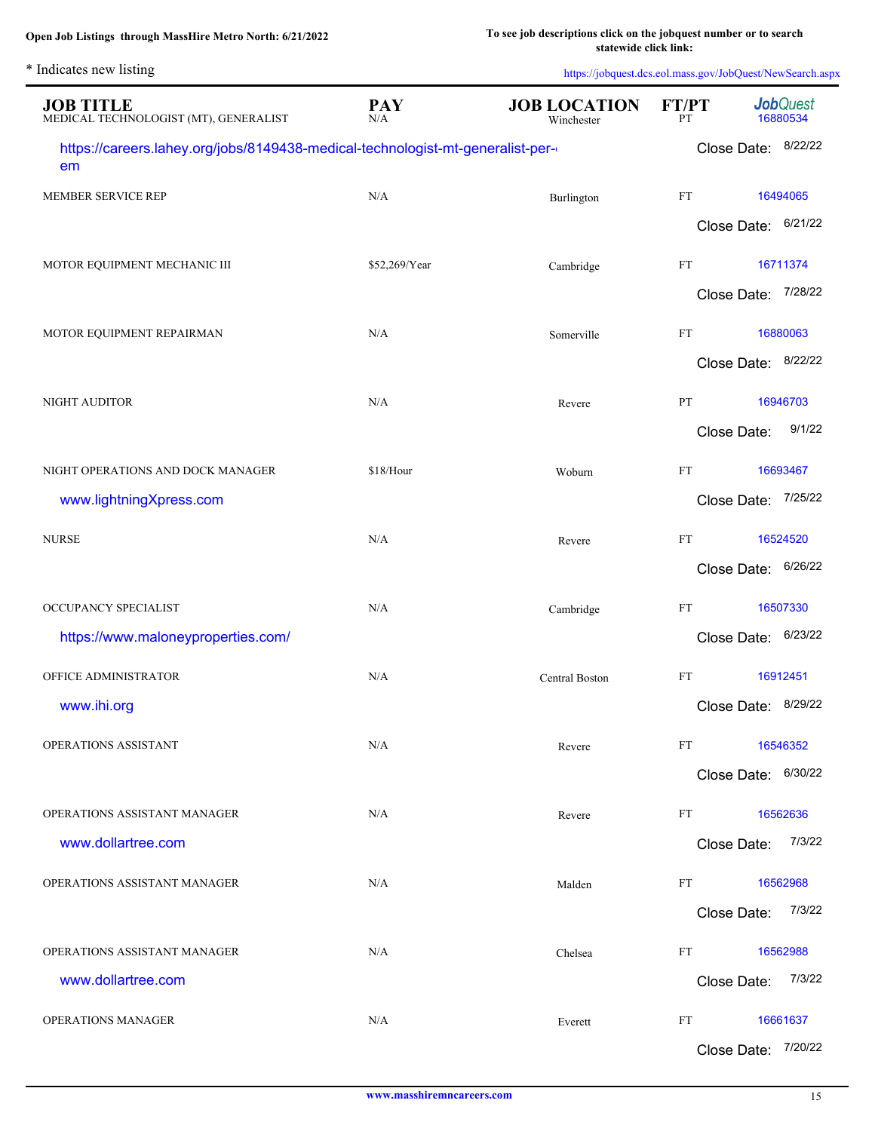| * Indicates new listing                                                              |                   |                                   |             | https://jobquest.dcs.eol.mass.gov/JobQuest/NewSearch.aspx |
|--------------------------------------------------------------------------------------|-------------------|-----------------------------------|-------------|-----------------------------------------------------------|
| <b>JOB TITLE</b><br>MEDICAL TECHNOLOGIST (MT), GENERALIST                            | <b>PAY</b><br>N/A | <b>JOB LOCATION</b><br>Winchester | FT/PT<br>PT | <b>Job</b> Quest<br>16880534                              |
| https://careers.lahey.org/jobs/8149438-medical-technologist-mt-generalist-per-<br>em |                   |                                   |             | Close Date: 8/22/22                                       |
| MEMBER SERVICE REP                                                                   | N/A               | Burlington                        | FT          | 16494065                                                  |
|                                                                                      |                   |                                   |             | Close Date: 6/21/22                                       |
| MOTOR EQUIPMENT MECHANIC III                                                         | \$52,269/Year     | Cambridge                         | FT          | 16711374                                                  |
|                                                                                      |                   |                                   |             | Close Date: 7/28/22                                       |
| MOTOR EQUIPMENT REPAIRMAN                                                            | N/A               | Somerville                        | FT          | 16880063                                                  |
|                                                                                      |                   |                                   |             | 8/22/22<br>Close Date:                                    |
| <b>NIGHT AUDITOR</b>                                                                 | N/A               | Revere                            | PT          | 16946703                                                  |
|                                                                                      |                   |                                   |             | 9/1/22<br>Close Date:                                     |
| NIGHT OPERATIONS AND DOCK MANAGER                                                    | \$18/Hour         | Woburn                            | FT          | 16693467                                                  |
| www.lightningXpress.com                                                              |                   |                                   |             | 7/25/22<br>Close Date:                                    |
| <b>NURSE</b>                                                                         | N/A               | Revere                            | FT          | 16524520                                                  |
|                                                                                      |                   |                                   |             | 6/26/22<br>Close Date:                                    |
| OCCUPANCY SPECIALIST                                                                 | N/A               | Cambridge                         | <b>FT</b>   | 16507330                                                  |
| https://www.maloneyproperties.com/                                                   |                   |                                   |             | 6/23/22<br>Close Date:                                    |
| OFFICE ADMINISTRATOR                                                                 | N/A               | Central Boston                    | FT          | 16912451                                                  |
| www.ihi.org                                                                          |                   |                                   |             | Close Date: 8/29/22                                       |
| OPERATIONS ASSISTANT                                                                 | N/A               | Revere                            | FT          | 16546352                                                  |
|                                                                                      |                   |                                   |             | Close Date: 6/30/22                                       |
| OPERATIONS ASSISTANT MANAGER                                                         | N/A               | Revere                            | FT          | 16562636                                                  |
| www.dollartree.com                                                                   |                   |                                   |             | 7/3/22<br>Close Date:                                     |
| OPERATIONS ASSISTANT MANAGER                                                         | N/A               | Malden                            | FT          | 16562968                                                  |
|                                                                                      |                   |                                   |             | 7/3/22<br>Close Date:                                     |
| OPERATIONS ASSISTANT MANAGER                                                         | N/A               | Chelsea                           | FT          | 16562988                                                  |
| www.dollartree.com                                                                   |                   |                                   |             | 7/3/22<br>Close Date:                                     |
| <b>OPERATIONS MANAGER</b>                                                            | N/A               | Everett                           | FT          | 16661637                                                  |
|                                                                                      |                   |                                   |             | 7/20/22<br>Close Date:                                    |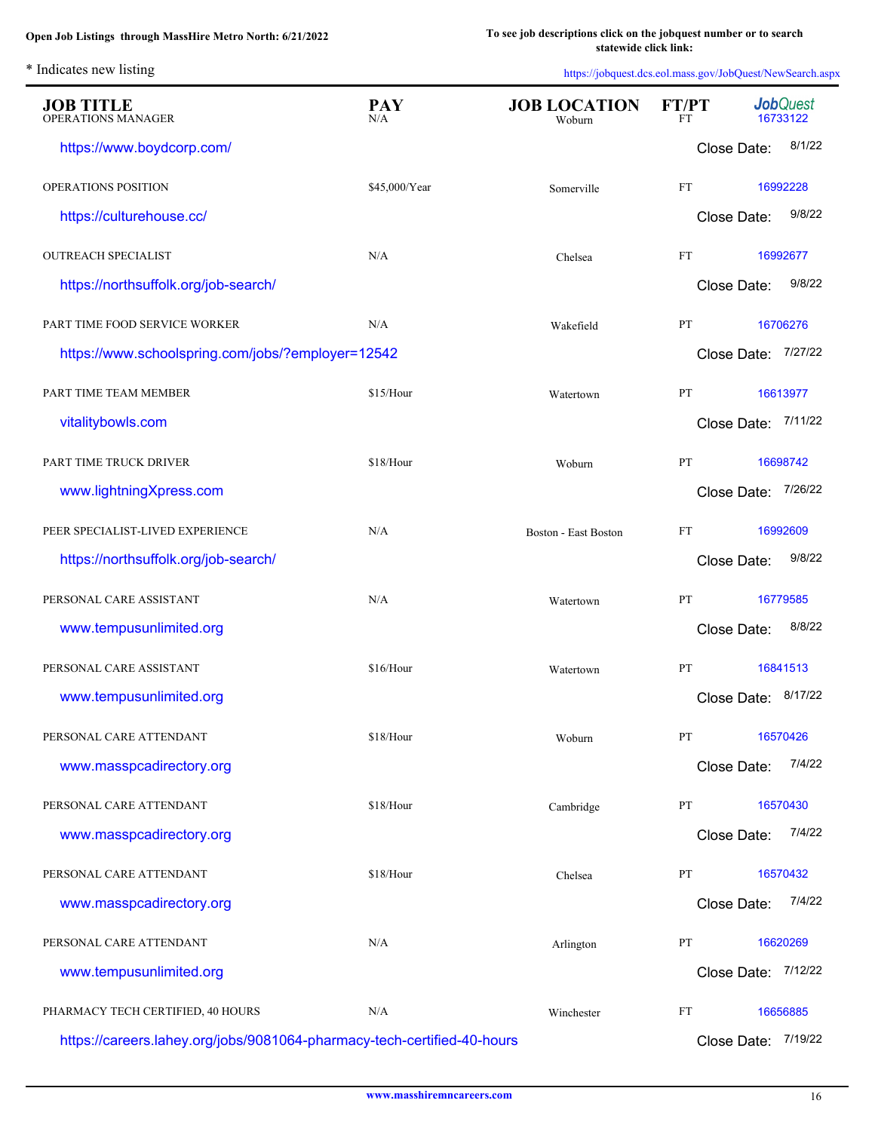| <b>JOB TITLE</b><br><b>OPERATIONS MANAGER</b>                           | <b>PAY</b><br>N/A | <b>JOB LOCATION</b><br>Woburn | FT/PT<br>FT | <b>Job</b> Quest<br>16733122 |
|-------------------------------------------------------------------------|-------------------|-------------------------------|-------------|------------------------------|
| https://www.boydcorp.com/                                               |                   |                               | Close Date: | 8/1/22                       |
| OPERATIONS POSITION                                                     | \$45,000/Year     | Somerville                    | FT          | 16992228                     |
| https://culturehouse.cc/                                                |                   |                               | Close Date: | 9/8/22                       |
| <b>OUTREACH SPECIALIST</b>                                              | N/A               | Chelsea                       | FT          | 16992677                     |
| https://northsuffolk.org/job-search/                                    |                   |                               | Close Date: | 9/8/22                       |
| PART TIME FOOD SERVICE WORKER                                           | N/A               | Wakefield                     | PT          | 16706276                     |
| https://www.schoolspring.com/jobs/?employer=12542                       |                   |                               |             | Close Date: 7/27/22          |
| PART TIME TEAM MEMBER                                                   | \$15/Hour         | Watertown                     | PT          | 16613977                     |
| vitalitybowls.com                                                       |                   |                               |             | Close Date: 7/11/22          |
| PART TIME TRUCK DRIVER                                                  | \$18/Hour         | Woburn                        | PT          | 16698742                     |
| www.lightningXpress.com                                                 |                   |                               |             | Close Date: 7/26/22          |
| PEER SPECIALIST-LIVED EXPERIENCE                                        | N/A               | Boston - East Boston          | FT          | 16992609                     |
| https://northsuffolk.org/job-search/                                    |                   |                               | Close Date: | 9/8/22                       |
| PERSONAL CARE ASSISTANT                                                 | N/A               | Watertown                     | PT          | 16779585                     |
| www.tempusunlimited.org                                                 |                   |                               | Close Date: | 8/8/22                       |
| PERSONAL CARE ASSISTANT                                                 | \$16/Hour         | Watertown                     | PT          | 16841513                     |
| www.tempusunlimited.org                                                 |                   |                               | Close Date: | 8/17/22                      |
| PERSONAL CARE ATTENDANT                                                 | \$18/Hour         | Woburn                        | PT          | 16570426                     |
| www.masspcadirectory.org                                                |                   |                               | Close Date: | 7/4/22                       |
| PERSONAL CARE ATTENDANT                                                 | \$18/Hour         | Cambridge                     | PT          | 16570430                     |
| www.masspcadirectory.org                                                |                   |                               | Close Date: | 7/4/22                       |
| PERSONAL CARE ATTENDANT                                                 | \$18/Hour         | Chelsea                       | PT          | 16570432                     |
| www.masspcadirectory.org                                                |                   |                               | Close Date: | 7/4/22                       |
| PERSONAL CARE ATTENDANT                                                 | N/A               | Arlington                     | PT          | 16620269                     |
| www.tempusunlimited.org                                                 |                   |                               | Close Date: | 7/12/22                      |
| PHARMACY TECH CERTIFIED, 40 HOURS                                       | N/A               | Winchester                    | FT          | 16656885                     |
| https://careers.lahey.org/jobs/9081064-pharmacy-tech-certified-40-hours |                   |                               | Close Date: | 7/19/22                      |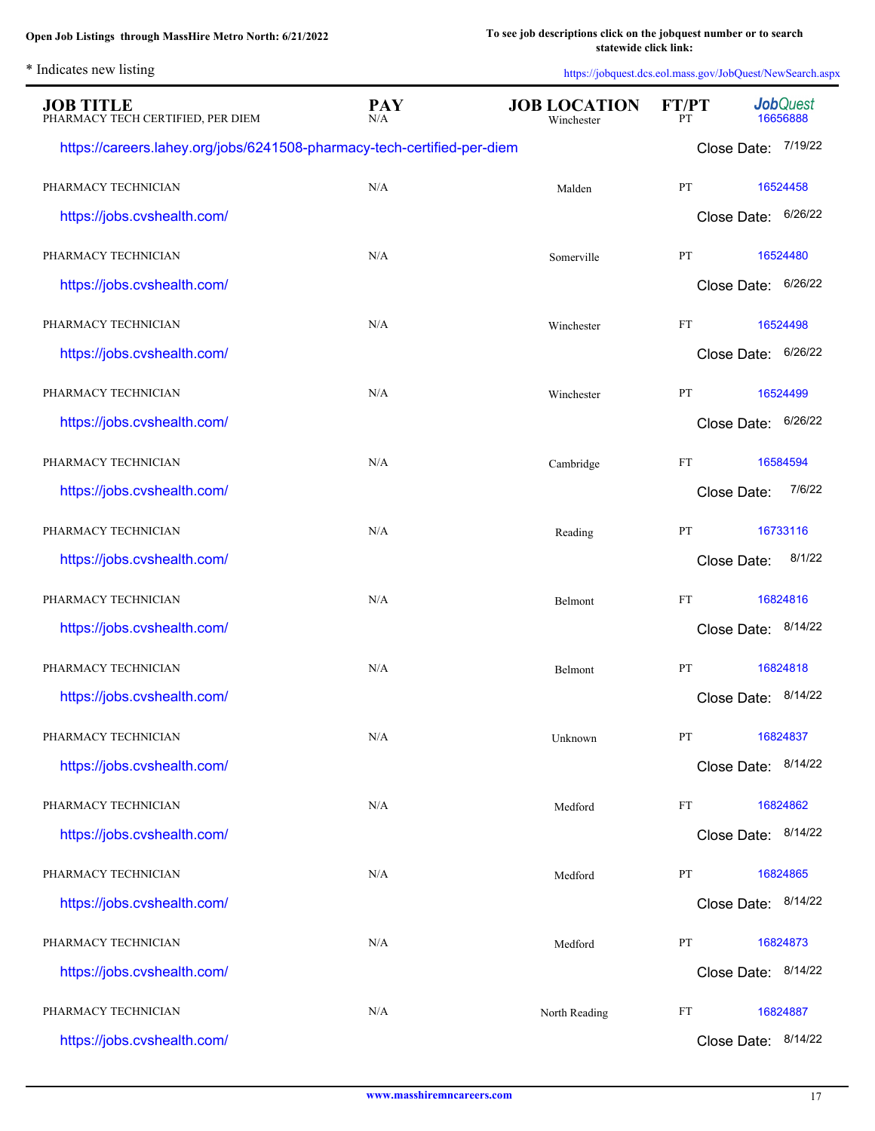|  | * Indicates new listing |  |  |
|--|-------------------------|--|--|
|--|-------------------------|--|--|

| <b>JOB TITLE</b><br>PHARMACY TECH CERTIFIED, PER DIEM                   | <b>PAY</b><br>N/A | <b>JOB LOCATION</b><br>Winchester | FT/PT<br>PТ | <b>Job</b> Quest<br>16656888 |
|-------------------------------------------------------------------------|-------------------|-----------------------------------|-------------|------------------------------|
| https://careers.lahey.org/jobs/6241508-pharmacy-tech-certified-per-diem |                   |                                   |             | Close Date: 7/19/22          |
| PHARMACY TECHNICIAN                                                     | N/A               | Malden                            | PT          | 16524458                     |
| https://jobs.cvshealth.com/                                             |                   |                                   | Close Date: | 6/26/22                      |
| PHARMACY TECHNICIAN                                                     | N/A               | Somerville                        | PT          | 16524480                     |
| https://jobs.cvshealth.com/                                             |                   |                                   | Close Date: | 6/26/22                      |
| PHARMACY TECHNICIAN                                                     | N/A               | Winchester                        | <b>FT</b>   | 16524498                     |
| https://jobs.cvshealth.com/                                             |                   |                                   | Close Date: | 6/26/22                      |
| PHARMACY TECHNICIAN                                                     | N/A               | Winchester                        | <b>PT</b>   | 16524499                     |
| https://jobs.cvshealth.com/                                             |                   |                                   | Close Date: | 6/26/22                      |
| PHARMACY TECHNICIAN                                                     | N/A               | Cambridge                         | <b>FT</b>   | 16584594                     |
| https://jobs.cvshealth.com/                                             |                   |                                   | Close Date: | 7/6/22                       |
| PHARMACY TECHNICIAN                                                     | N/A               | Reading                           | PT          | 16733116                     |
| https://jobs.cvshealth.com/                                             |                   |                                   | Close Date: | 8/1/22                       |
| PHARMACY TECHNICIAN                                                     | N/A               | Belmont                           | ${\rm FT}$  | 16824816                     |
| https://jobs.cvshealth.com/                                             |                   |                                   | Close Date: | 8/14/22                      |
| PHARMACY TECHNICIAN                                                     | N/A               | <b>Belmont</b>                    | PT          | 16824818                     |
| https://jobs.cvshealth.com/                                             |                   |                                   | Close Date: | 8/14/22                      |
| PHARMACY TECHNICIAN                                                     | $\rm N/A$         | Unknown                           | PT          | 16824837                     |
| https://jobs.cvshealth.com/                                             |                   |                                   | Close Date: | 8/14/22                      |
| PHARMACY TECHNICIAN                                                     | N/A               | Medford                           | FT          | 16824862                     |
| https://jobs.cvshealth.com/                                             |                   |                                   |             | Close Date: 8/14/22          |
| PHARMACY TECHNICIAN                                                     | N/A               | Medford                           | PT          | 16824865                     |
| https://jobs.cvshealth.com/                                             |                   |                                   | Close Date: | 8/14/22                      |
| PHARMACY TECHNICIAN                                                     | N/A               | Medford                           | PT          | 16824873                     |
| https://jobs.cvshealth.com/                                             |                   |                                   | Close Date: | 8/14/22                      |
| PHARMACY TECHNICIAN                                                     | N/A               | North Reading                     | FT          | 16824887                     |
| https://jobs.cvshealth.com/                                             |                   |                                   | Close Date: | 8/14/22                      |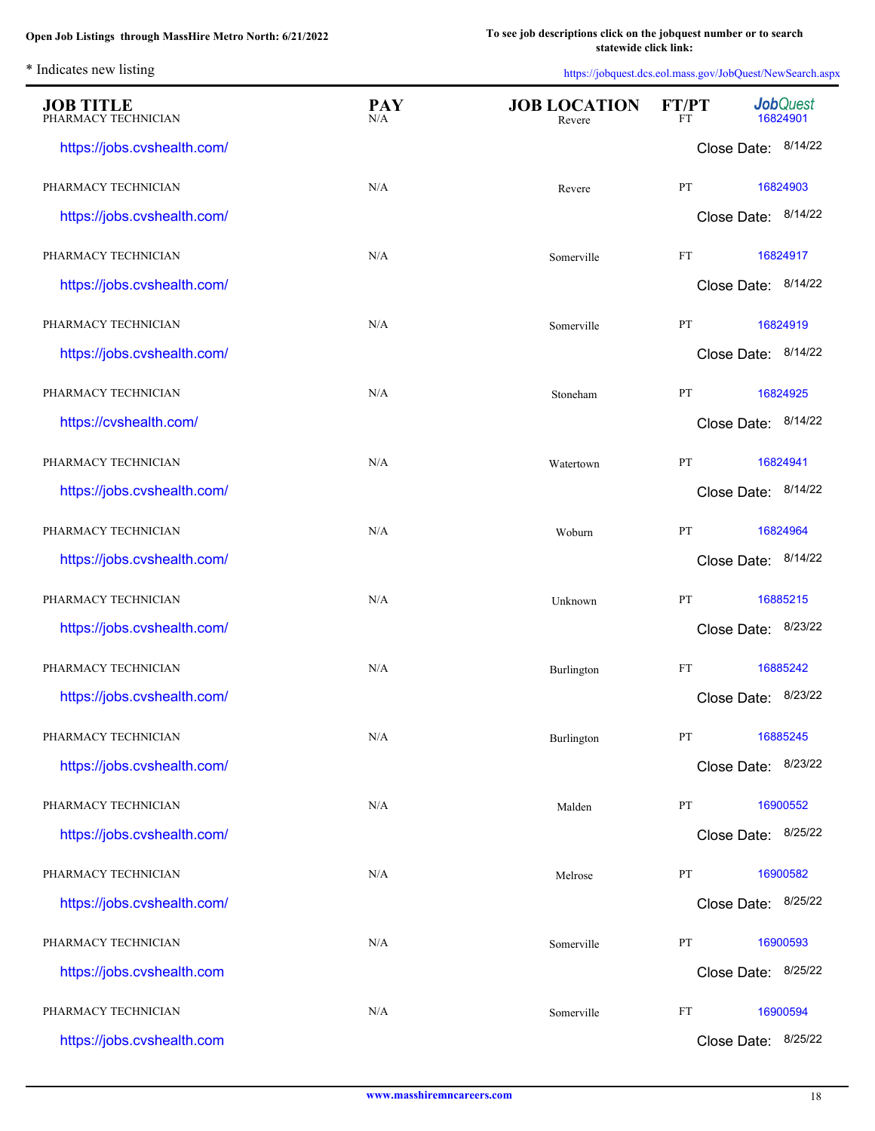| <b>JOB TITLE</b><br>PHARMACY TECHNICIAN | <b>PAY</b><br>N/A | <b>JOB LOCATION</b><br>Revere | FT/PT<br>FT | <b>Job</b> Quest<br>16824901 |
|-----------------------------------------|-------------------|-------------------------------|-------------|------------------------------|
| https://jobs.cvshealth.com/             |                   |                               |             | Close Date: 8/14/22          |
| PHARMACY TECHNICIAN                     | N/A               | Revere                        | PT          | 16824903                     |
| https://jobs.cvshealth.com/             |                   |                               |             | Close Date: 8/14/22          |
| PHARMACY TECHNICIAN                     | N/A               | Somerville                    | FT          | 16824917                     |
| https://jobs.cvshealth.com/             |                   |                               |             | Close Date: 8/14/22          |
| PHARMACY TECHNICIAN                     | N/A               | Somerville                    | PT          | 16824919                     |
| https://jobs.cvshealth.com/             |                   |                               |             | Close Date: 8/14/22          |
| PHARMACY TECHNICIAN                     | N/A               | Stoneham                      | PT          | 16824925                     |
| https://cvshealth.com/                  |                   |                               |             | Close Date: 8/14/22          |
| PHARMACY TECHNICIAN                     | N/A               | Watertown                     | PT          | 16824941                     |
| https://jobs.cvshealth.com/             |                   |                               |             | Close Date: 8/14/22          |
| PHARMACY TECHNICIAN                     | N/A               | Woburn                        | PT          | 16824964                     |
| https://jobs.cvshealth.com/             |                   |                               |             | Close Date: 8/14/22          |
| PHARMACY TECHNICIAN                     | N/A               | Unknown                       | PT          | 16885215                     |
| https://jobs.cvshealth.com/             |                   |                               |             | Close Date: 8/23/22          |
| PHARMACY TECHNICIAN                     | N/A               | Burlington                    | <b>FT</b>   | 16885242                     |
| https://jobs.cvshealth.com/             |                   |                               |             | Close Date: 8/23/22          |
| PHARMACY TECHNICIAN                     | N/A               | Burlington                    | PT          | 16885245                     |
| https://jobs.cvshealth.com/             |                   |                               |             | Close Date: 8/23/22          |
| PHARMACY TECHNICIAN                     | N/A               | Malden                        | PT          | 16900552                     |
| https://jobs.cvshealth.com/             |                   |                               |             | Close Date: 8/25/22          |
| PHARMACY TECHNICIAN                     | N/A               | Melrose                       | PT          | 16900582                     |
| https://jobs.cvshealth.com/             |                   |                               |             | Close Date: 8/25/22          |
| PHARMACY TECHNICIAN                     | N/A               | Somerville                    | PT          | 16900593                     |
| https://jobs.cvshealth.com              |                   |                               |             | Close Date: 8/25/22          |
| PHARMACY TECHNICIAN                     | N/A               | Somerville                    | FT          | 16900594                     |
| https://jobs.cvshealth.com              |                   |                               |             | Close Date: 8/25/22          |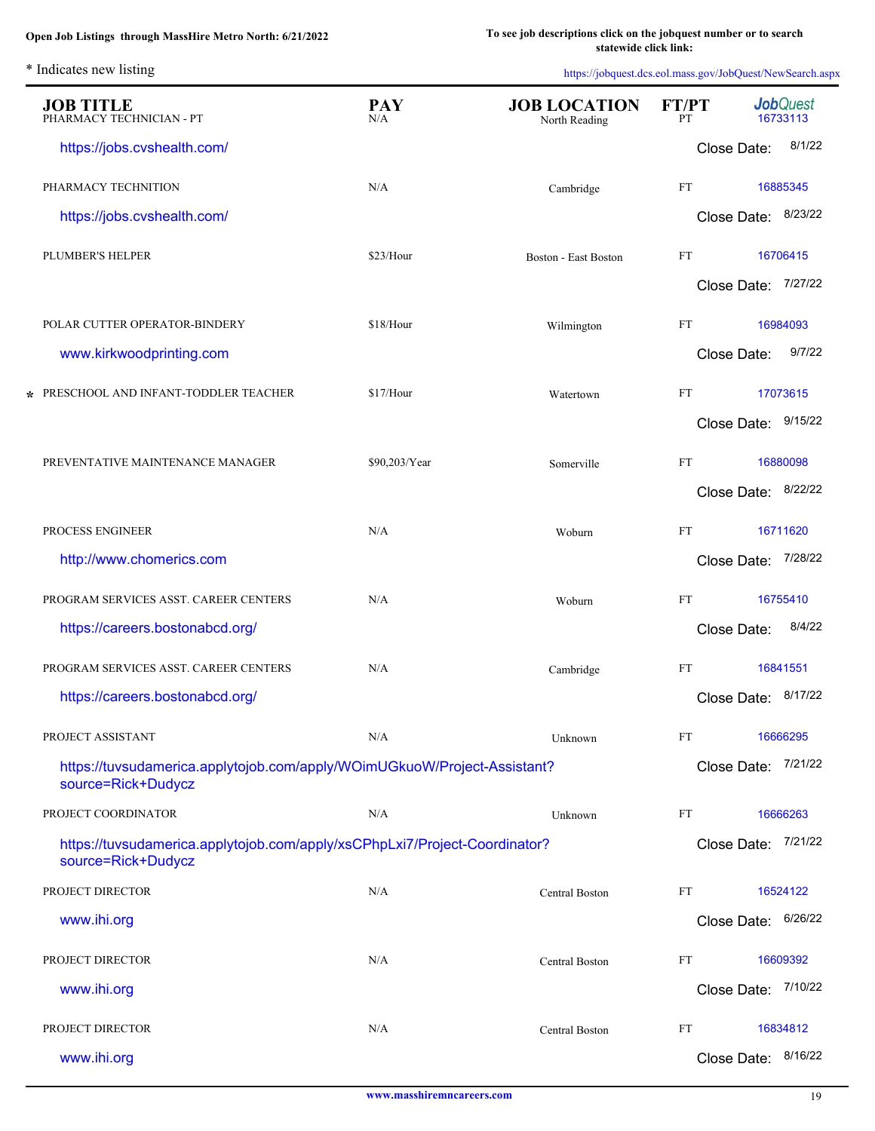| <b>JOB TITLE</b><br>PHARMACY TECHNICIAN - PT                                                     | <b>PAY</b><br>N/A | <b>JOB LOCATION</b><br>North Reading | FT/PT<br>PT |                     | <b>Job</b> Quest<br>16733113 |
|--------------------------------------------------------------------------------------------------|-------------------|--------------------------------------|-------------|---------------------|------------------------------|
| https://jobs.cvshealth.com/                                                                      |                   |                                      |             | Close Date:         | 8/1/22                       |
| PHARMACY TECHNITION                                                                              | N/A               | Cambridge                            | <b>FT</b>   |                     | 16885345                     |
| https://jobs.cvshealth.com/                                                                      |                   |                                      |             | Close Date: 8/23/22 |                              |
| PLUMBER'S HELPER                                                                                 | \$23/Hour         | <b>Boston - East Boston</b>          | FT          |                     | 16706415                     |
|                                                                                                  |                   |                                      |             | Close Date: 7/27/22 |                              |
| POLAR CUTTER OPERATOR-BINDERY                                                                    | \$18/Hour         | Wilmington                           | <b>FT</b>   |                     | 16984093                     |
| www.kirkwoodprinting.com                                                                         |                   |                                      |             | Close Date:         | 9/7/22                       |
| * PRESCHOOL AND INFANT-TODDLER TEACHER                                                           | \$17/Hour         | Watertown                            | <b>FT</b>   |                     | 17073615                     |
|                                                                                                  |                   |                                      |             | Close Date: 9/15/22 |                              |
| PREVENTATIVE MAINTENANCE MANAGER                                                                 | \$90,203/Year     | Somerville                           | <b>FT</b>   |                     | 16880098                     |
|                                                                                                  |                   |                                      |             | Close Date: 8/22/22 |                              |
| PROCESS ENGINEER                                                                                 | N/A               | Woburn                               | <b>FT</b>   |                     | 16711620                     |
| http://www.chomerics.com                                                                         |                   |                                      |             | Close Date: 7/28/22 |                              |
| PROGRAM SERVICES ASST. CAREER CENTERS                                                            | N/A               | Woburn                               | <b>FT</b>   |                     | 16755410                     |
| https://careers.bostonabcd.org/                                                                  |                   |                                      |             | Close Date:         | 8/4/22                       |
| PROGRAM SERVICES ASST. CAREER CENTERS                                                            | N/A               | Cambridge                            | FT          |                     | 16841551                     |
| https://careers.bostonabcd.org/                                                                  |                   |                                      |             | Close Date: 8/17/22 |                              |
| PROJECT ASSISTANT                                                                                | N/A               | Unknown                              | FT          |                     | 16666295                     |
| https://tuvsudamerica.applytojob.com/apply/WOimUGkuoW/Project-Assistant?<br>source=Rick+Dudycz   |                   |                                      |             | Close Date: 7/21/22 |                              |
| PROJECT COORDINATOR                                                                              | N/A               | Unknown                              | FT          |                     | 16666263                     |
| https://tuvsudamerica.applytojob.com/apply/xsCPhpLxi7/Project-Coordinator?<br>source=Rick+Dudycz |                   |                                      |             | Close Date: 7/21/22 |                              |
| PROJECT DIRECTOR                                                                                 | N/A               | Central Boston                       | FT          |                     | 16524122                     |
| www.ihi.org                                                                                      |                   |                                      |             | Close Date: 6/26/22 |                              |
| PROJECT DIRECTOR                                                                                 | N/A               | Central Boston                       | FT          |                     | 16609392                     |
| www.ihi.org                                                                                      |                   |                                      |             | Close Date:         | 7/10/22                      |
| PROJECT DIRECTOR                                                                                 | N/A               | Central Boston                       | FT          |                     | 16834812                     |
| www.ihi.org                                                                                      |                   |                                      |             | Close Date: 8/16/22 |                              |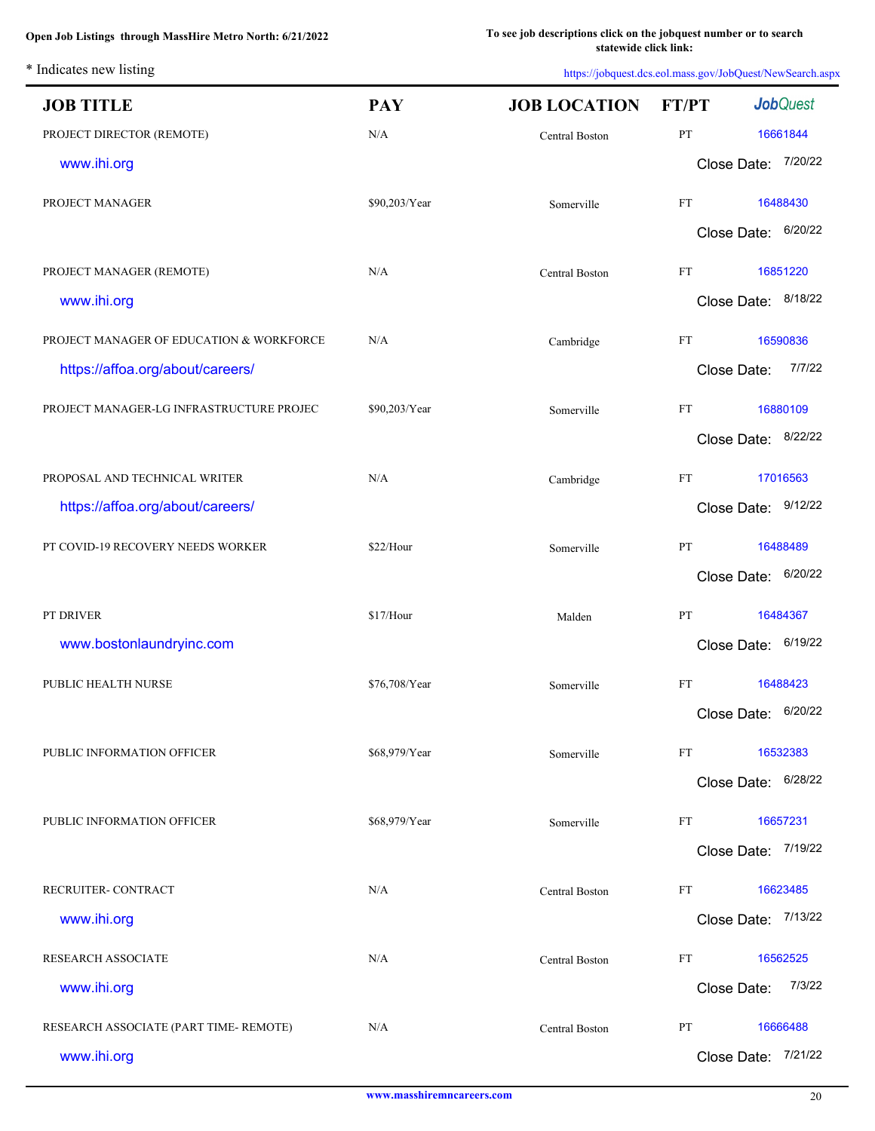| <b>JOB TITLE</b>                         | <b>PAY</b>    | <b>JOB LOCATION</b>   | FT/PT       | <b>Job</b> Quest    |
|------------------------------------------|---------------|-----------------------|-------------|---------------------|
| PROJECT DIRECTOR (REMOTE)                | N/A           | Central Boston        | PT          | 16661844            |
| www.ihi.org                              |               |                       |             | Close Date: 7/20/22 |
| PROJECT MANAGER                          | \$90,203/Year | Somerville            | FT          | 16488430            |
|                                          |               |                       |             | Close Date: 6/20/22 |
| PROJECT MANAGER (REMOTE)                 | N/A           | <b>Central Boston</b> | FT          | 16851220            |
| www.ihi.org                              |               |                       |             | Close Date: 8/18/22 |
| PROJECT MANAGER OF EDUCATION & WORKFORCE | N/A           | Cambridge             | FT          | 16590836            |
| https://affoa.org/about/careers/         |               |                       | Close Date: | 7/7/22              |
| PROJECT MANAGER-LG INFRASTRUCTURE PROJEC | \$90,203/Year | Somerville            | FT          | 16880109            |
|                                          |               |                       |             | Close Date: 8/22/22 |
| PROPOSAL AND TECHNICAL WRITER            | N/A           | Cambridge             | FT          | 17016563            |
| https://affoa.org/about/careers/         |               |                       |             | Close Date: 9/12/22 |
| PT COVID-19 RECOVERY NEEDS WORKER        | \$22/Hour     | Somerville            | PT          | 16488489            |
|                                          |               |                       | Close Date: | 6/20/22             |
| PT DRIVER                                | \$17/Hour     | Malden                | PT          | 16484367            |
| www.bostonlaundryinc.com                 |               |                       | Close Date: | 6/19/22             |
| PUBLIC HEALTH NURSE                      | \$76,708/Year | Somerville            | FT          | 16488423            |
|                                          |               |                       |             | Close Date: 6/20/22 |
| PUBLIC INFORMATION OFFICER               | \$68,979/Year | Somerville            | FT          | 16532383            |
|                                          |               |                       |             | Close Date: 6/28/22 |
| PUBLIC INFORMATION OFFICER               | \$68,979/Year | Somerville            | FT          | 16657231            |
|                                          |               |                       |             | Close Date: 7/19/22 |
| RECRUITER- CONTRACT                      | N/A           | Central Boston        | FT          | 16623485            |
| www.ihi.org                              |               |                       |             | Close Date: 7/13/22 |
| <b>RESEARCH ASSOCIATE</b>                | N/A           | Central Boston        | FT          | 16562525            |
| www.ihi.org                              |               |                       | Close Date: | 7/3/22              |
| RESEARCH ASSOCIATE (PART TIME- REMOTE)   | N/A           | Central Boston        | PT          | 16666488            |
| www.ihi.org                              |               |                       |             | Close Date: 7/21/22 |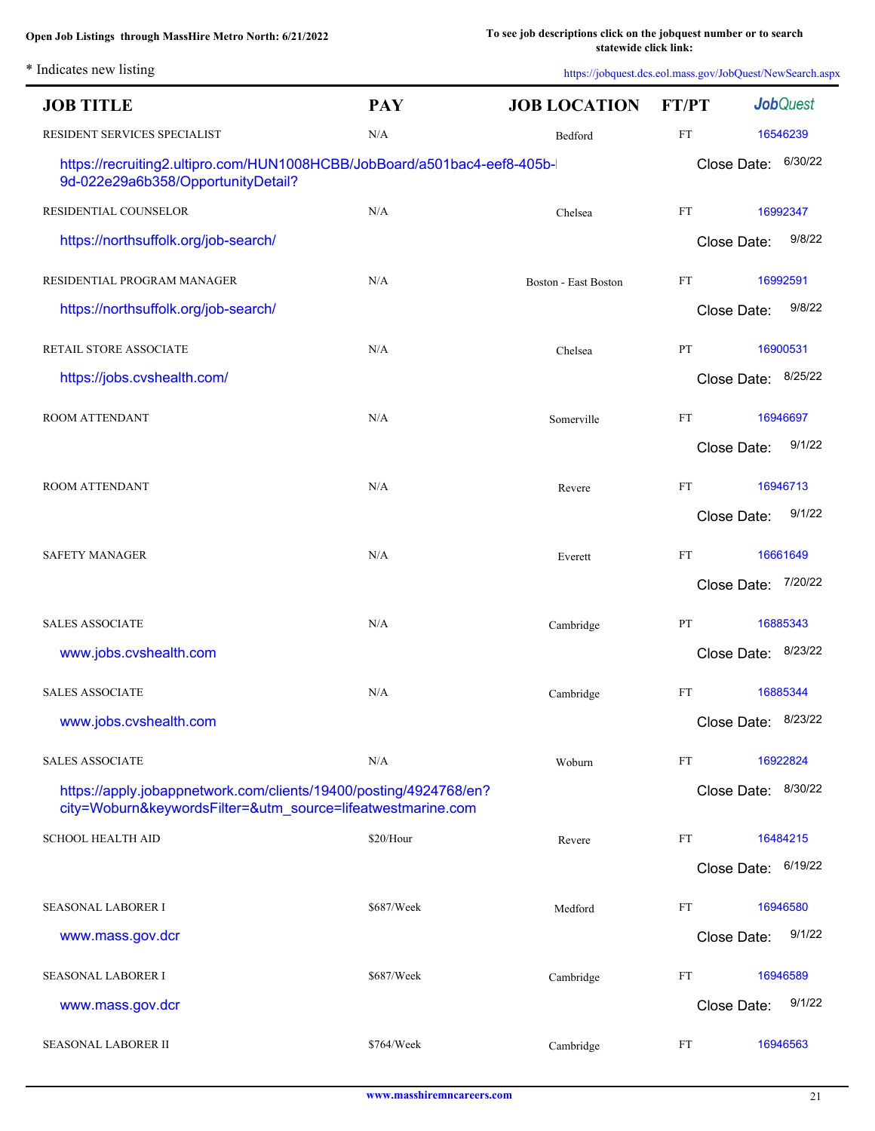| * Indicates new listing |
|-------------------------|
|                         |

| <b>JOB TITLE</b>                                                                                                                 | <b>PAY</b> | <b>JOB LOCATION</b>         | FT/PT                      | <b>Job</b> Quest       |
|----------------------------------------------------------------------------------------------------------------------------------|------------|-----------------------------|----------------------------|------------------------|
| RESIDENT SERVICES SPECIALIST                                                                                                     | N/A        | Bedford                     | FT                         | 16546239               |
| https://recruiting2.ultipro.com/HUN1008HCBB/JobBoard/a501bac4-eef8-405b-<br>9d-022e29a6b358/OpportunityDetail?                   |            |                             |                            | 6/30/22<br>Close Date: |
| RESIDENTIAL COUNSELOR                                                                                                            | N/A        | Chelsea                     | $\mathop{\rm FT}\nolimits$ | 16992347               |
| https://northsuffolk.org/job-search/                                                                                             |            |                             |                            | 9/8/22<br>Close Date:  |
| RESIDENTIAL PROGRAM MANAGER                                                                                                      | N/A        | <b>Boston - East Boston</b> | FT                         | 16992591               |
| https://northsuffolk.org/job-search/                                                                                             |            |                             |                            | 9/8/22<br>Close Date:  |
| RETAIL STORE ASSOCIATE                                                                                                           | N/A        | Chelsea                     | PT                         | 16900531               |
| https://jobs.cvshealth.com/                                                                                                      |            |                             |                            | 8/25/22<br>Close Date: |
| ROOM ATTENDANT                                                                                                                   | N/A        | Somerville                  | FT                         | 16946697               |
|                                                                                                                                  |            |                             |                            | 9/1/22<br>Close Date:  |
| ROOM ATTENDANT                                                                                                                   | N/A        | Revere                      | $\mathop{\rm FT}\nolimits$ | 16946713               |
|                                                                                                                                  |            |                             |                            | 9/1/22<br>Close Date:  |
| <b>SAFETY MANAGER</b>                                                                                                            | N/A        | Everett                     | FT                         | 16661649               |
|                                                                                                                                  |            |                             |                            | 7/20/22<br>Close Date: |
| <b>SALES ASSOCIATE</b>                                                                                                           | N/A        | Cambridge                   | PT                         | 16885343               |
| www.jobs.cvshealth.com                                                                                                           |            |                             |                            | Close Date: 8/23/22    |
| <b>SALES ASSOCIATE</b>                                                                                                           | N/A        | Cambridge                   | FT                         | 16885344               |
| www.jobs.cvshealth.com                                                                                                           |            |                             |                            | Close Date: 8/23/22    |
| <b>SALES ASSOCIATE</b>                                                                                                           | N/A        | Woburn                      | FT                         | 16922824               |
| https://apply.jobappnetwork.com/clients/19400/posting/4924768/en?<br>city=Woburn&keywordsFilter=&utm_source=lifeatwestmarine.com |            |                             |                            | Close Date: 8/30/22    |
| <b>SCHOOL HEALTH AID</b>                                                                                                         | \$20/Hour  | Revere                      | FT                         | 16484215               |
|                                                                                                                                  |            |                             |                            | Close Date: 6/19/22    |
| <b>SEASONAL LABORER I</b>                                                                                                        | \$687/Week | Medford                     | FT                         | 16946580               |
| www.mass.gov.dcr                                                                                                                 |            |                             |                            | 9/1/22<br>Close Date:  |
| <b>SEASONAL LABORER I</b>                                                                                                        | \$687/Week | Cambridge                   | FT                         | 16946589               |
| www.mass.gov.dcr                                                                                                                 |            |                             |                            | 9/1/22<br>Close Date:  |
| <b>SEASONAL LABORER II</b>                                                                                                       | \$764/Week | Cambridge                   | FT                         | 16946563               |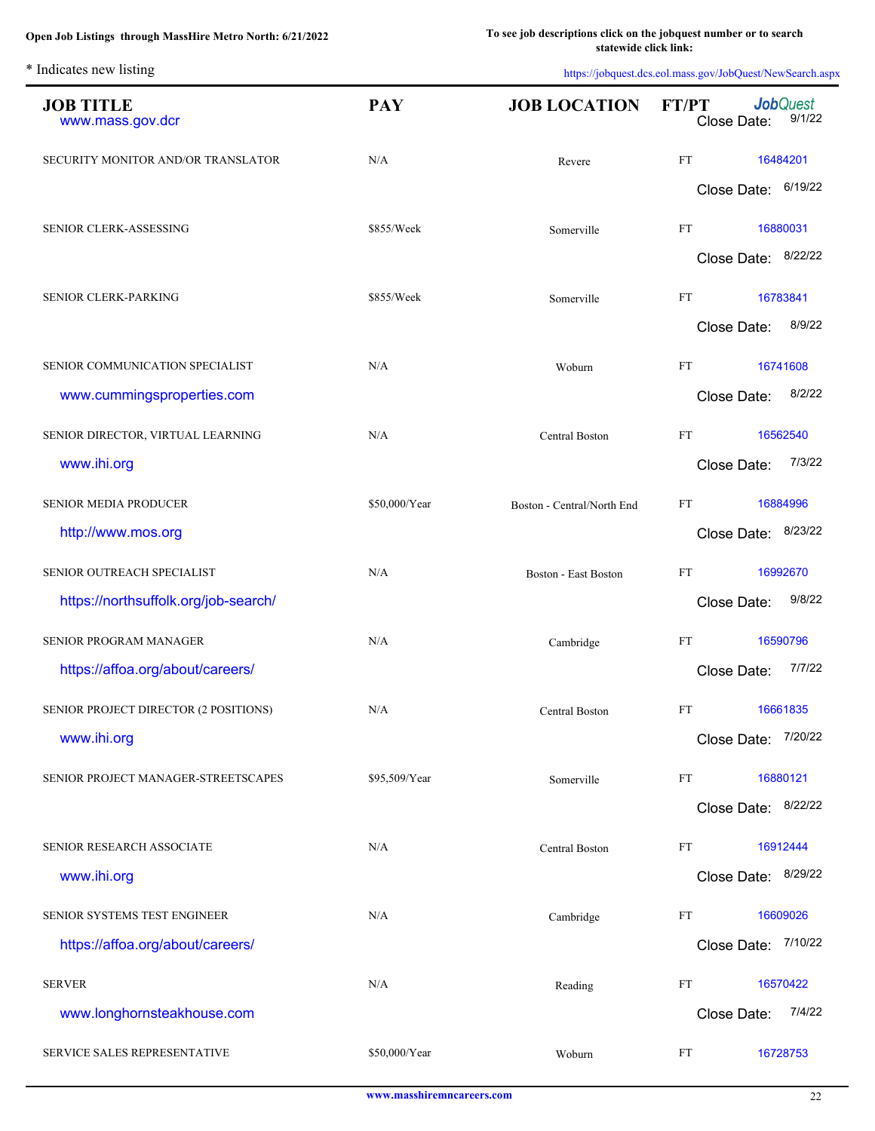| <b>JOB TITLE</b><br>www.mass.gov.dcr  | <b>PAY</b>    | <b>JOB LOCATION</b>         | <b>Job</b> Quest<br>FT/PT<br>9/1/22<br>Close Date: |
|---------------------------------------|---------------|-----------------------------|----------------------------------------------------|
| SECURITY MONITOR AND/OR TRANSLATOR    | N/A           | Revere                      | <b>FT</b><br>16484201                              |
|                                       |               |                             | 6/19/22<br>Close Date:                             |
| SENIOR CLERK-ASSESSING                | \$855/Week    | Somerville                  | FT<br>16880031                                     |
|                                       |               |                             | 8/22/22<br>Close Date:                             |
| SENIOR CLERK-PARKING                  | \$855/Week    | Somerville                  | FT<br>16783841                                     |
|                                       |               |                             | 8/9/22<br>Close Date:                              |
| SENIOR COMMUNICATION SPECIALIST       | N/A           | Woburn                      | <b>FT</b><br>16741608                              |
| www.cummingsproperties.com            |               |                             | 8/2/22<br>Close Date:                              |
| SENIOR DIRECTOR, VIRTUAL LEARNING     | N/A           | <b>Central Boston</b>       | FT<br>16562540                                     |
| www.ihi.org                           |               |                             | 7/3/22<br>Close Date:                              |
| SENIOR MEDIA PRODUCER                 | \$50,000/Year | Boston - Central/North End  | FT<br>16884996                                     |
| http://www.mos.org                    |               |                             | 8/23/22<br>Close Date:                             |
| SENIOR OUTREACH SPECIALIST            | N/A           | <b>Boston - East Boston</b> | FT<br>16992670                                     |
| https://northsuffolk.org/job-search/  |               |                             | 9/8/22<br>Close Date:                              |
| <b>SENIOR PROGRAM MANAGER</b>         | N/A           | Cambridge                   | FT<br>16590796                                     |
| https://affoa.org/about/careers/      |               |                             | 7/7/22<br>Close Date:                              |
| SENIOR PROJECT DIRECTOR (2 POSITIONS) | N/A           | <b>Central Boston</b>       | FT<br>16661835                                     |
| www.ihi.org                           |               |                             | Close Date: 7/20/22                                |
| SENIOR PROJECT MANAGER-STREETSCAPES   | \$95,509/Year | Somerville                  | 16880121<br>FT                                     |
|                                       |               |                             | Close Date: 8/22/22                                |
| SENIOR RESEARCH ASSOCIATE             | N/A           | Central Boston              | 16912444<br>FT                                     |
| www.ihi.org                           |               |                             | Close Date: 8/29/22                                |
| SENIOR SYSTEMS TEST ENGINEER          | N/A           | Cambridge                   | FT<br>16609026                                     |
| https://affoa.org/about/careers/      |               |                             | Close Date: 7/10/22                                |
| <b>SERVER</b>                         | N/A           | Reading                     | FT<br>16570422                                     |
| www.longhornsteakhouse.com            |               |                             | 7/4/22<br>Close Date:                              |
| SERVICE SALES REPRESENTATIVE          | \$50,000/Year | Woburn                      | FT<br>16728753                                     |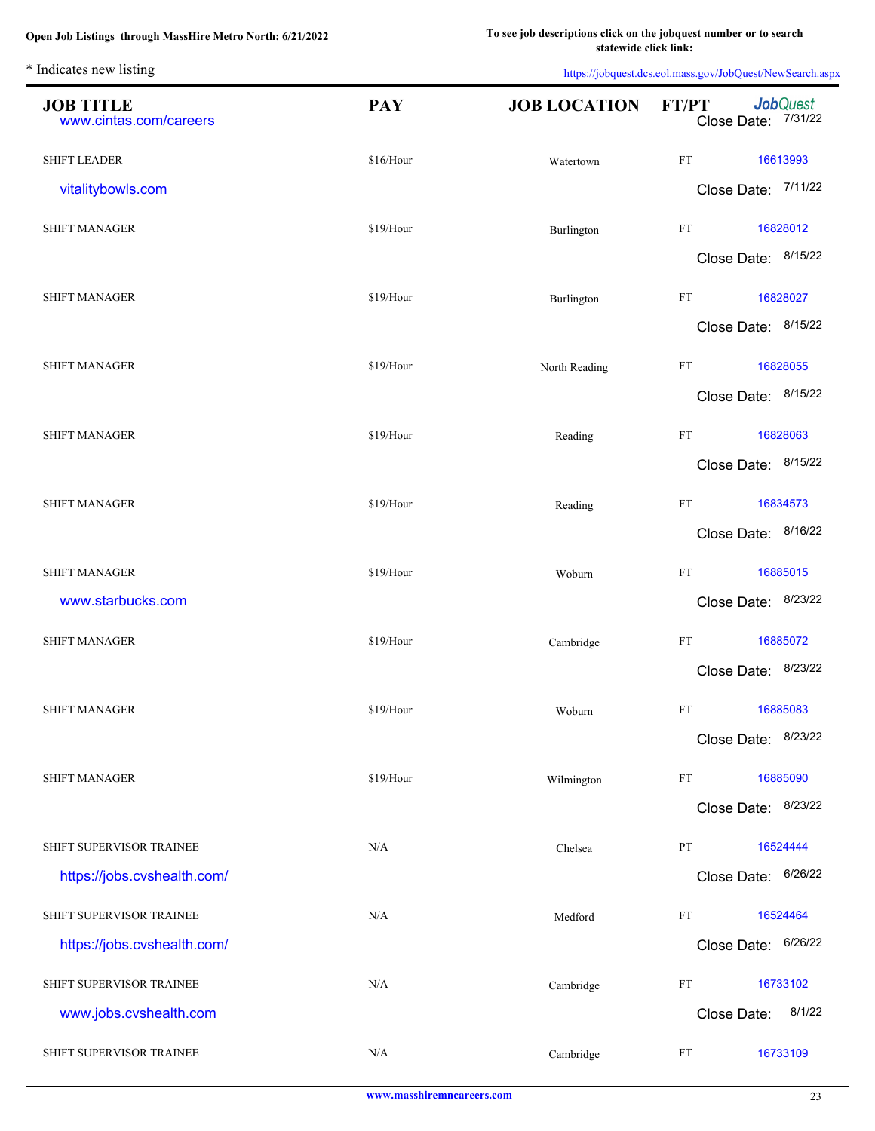L.

| <b>JOB TITLE</b><br>www.cintas.com/careers | <b>PAY</b> | <b>JOB LOCATION</b> | <b>Job</b> Quest<br><b>FT/PT</b><br>Close Date: 7/31/22 |
|--------------------------------------------|------------|---------------------|---------------------------------------------------------|
| <b>SHIFT LEADER</b>                        | \$16/Hour  | Watertown           | $\mathop{\rm FT}\nolimits$<br>16613993                  |
| vitalitybowls.com                          |            |                     | Close Date: 7/11/22                                     |
| <b>SHIFT MANAGER</b>                       | \$19/Hour  | Burlington          | $\mathop{\text{FT}}$<br>16828012                        |
|                                            |            |                     | Close Date: 8/15/22                                     |
| <b>SHIFT MANAGER</b>                       | \$19/Hour  | Burlington          | $\mathop{\rm FT}\nolimits$<br>16828027                  |
|                                            |            |                     | Close Date: 8/15/22                                     |
| <b>SHIFT MANAGER</b>                       | \$19/Hour  | North Reading       | $\mathop{\rm FT}\nolimits$<br>16828055                  |
|                                            |            |                     | Close Date: 8/15/22                                     |
| <b>SHIFT MANAGER</b>                       | \$19/Hour  | Reading             | $\mathop{\rm FT}\nolimits$<br>16828063                  |
|                                            |            |                     | Close Date: 8/15/22                                     |
| <b>SHIFT MANAGER</b>                       | \$19/Hour  | Reading             | $\mathop{\rm FT}\nolimits$<br>16834573                  |
|                                            |            |                     | Close Date: 8/16/22                                     |
| <b>SHIFT MANAGER</b>                       | \$19/Hour  | Woburn              | $\mathop{\rm FT}\nolimits$<br>16885015                  |
| www.starbucks.com                          |            |                     | Close Date: 8/23/22                                     |
|                                            |            |                     |                                                         |
| <b>SHIFT MANAGER</b>                       | \$19/Hour  | Cambridge           | FT<br>16885072<br>Close Date: 8/23/22                   |
|                                            |            |                     |                                                         |
| <b>SHIFT MANAGER</b>                       | \$19/Hour  | Woburn              | <b>FT</b><br>16885083                                   |
|                                            |            |                     | Close Date: 8/23/22                                     |
| <b>SHIFT MANAGER</b>                       | \$19/Hour  | Wilmington          | FT<br>16885090                                          |
|                                            |            |                     | 8/23/22<br>Close Date:                                  |
| SHIFT SUPERVISOR TRAINEE                   | N/A        | Chelsea             | PT<br>16524444                                          |
| https://jobs.cvshealth.com/                |            |                     | 6/26/22<br>Close Date:                                  |
| SHIFT SUPERVISOR TRAINEE                   | N/A        | Medford             | FT<br>16524464                                          |
| https://jobs.cvshealth.com/                |            |                     | 6/26/22<br>Close Date:                                  |
| SHIFT SUPERVISOR TRAINEE                   | N/A        | Cambridge           | FT<br>16733102                                          |
| www.jobs.cvshealth.com                     |            |                     | 8/1/22<br>Close Date:                                   |
| SHIFT SUPERVISOR TRAINEE                   | N/A        | Cambridge           | 16733109<br>FT                                          |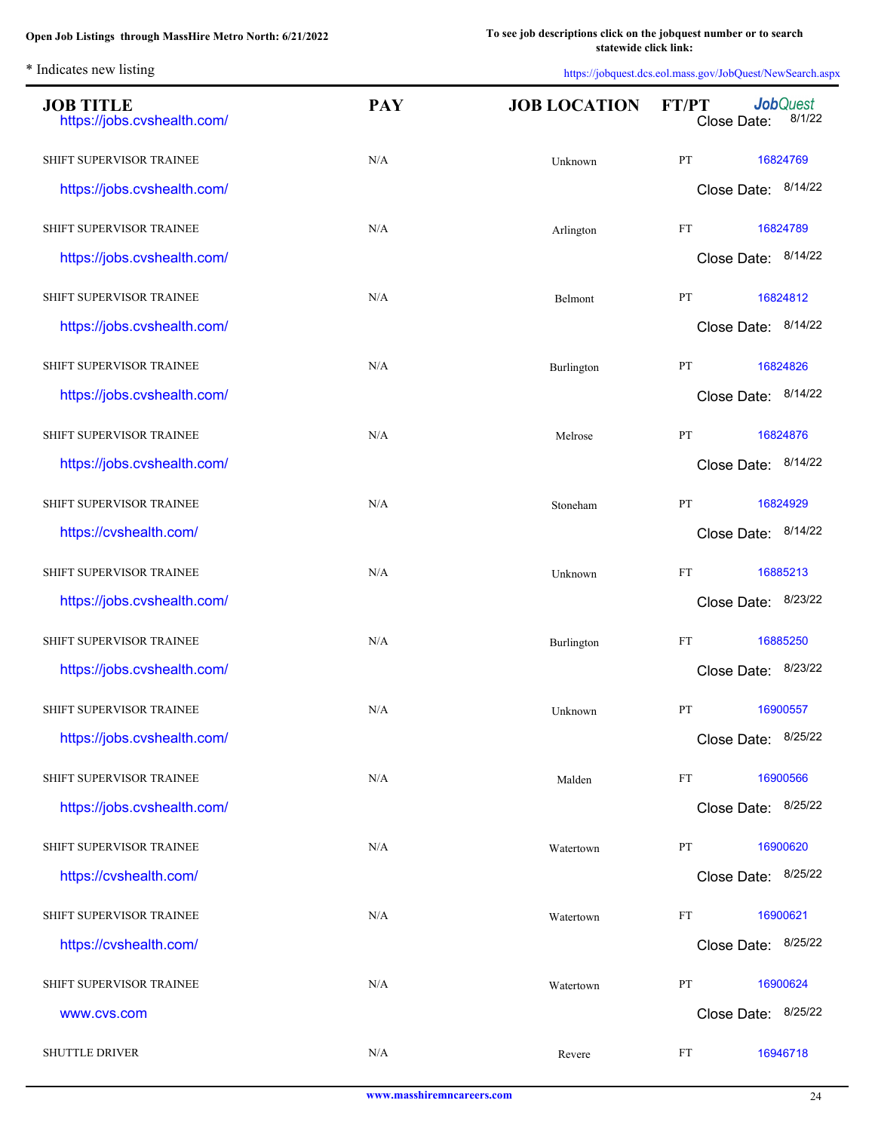| <b>JOB TITLE</b><br>https://jobs.cvshealth.com/ | <b>PAY</b> | <b>JOB LOCATION</b> | <b>Job</b> Quest<br>FT/PT<br>8/1/22<br>Close Date: |
|-------------------------------------------------|------------|---------------------|----------------------------------------------------|
| SHIFT SUPERVISOR TRAINEE                        | N/A        | Unknown             | PT<br>16824769                                     |
| https://jobs.cvshealth.com/                     |            |                     | Close Date: 8/14/22                                |
| SHIFT SUPERVISOR TRAINEE                        | N/A        | Arlington           | FT<br>16824789                                     |
| https://jobs.cvshealth.com/                     |            |                     | Close Date: 8/14/22                                |
| SHIFT SUPERVISOR TRAINEE                        | N/A        | Belmont             | PT<br>16824812                                     |
| https://jobs.cvshealth.com/                     |            |                     | Close Date: 8/14/22                                |
| SHIFT SUPERVISOR TRAINEE                        | N/A        | Burlington          | PT<br>16824826                                     |
| https://jobs.cvshealth.com/                     |            |                     | Close Date: 8/14/22                                |
| SHIFT SUPERVISOR TRAINEE                        | N/A        | Melrose             | PT<br>16824876                                     |
| https://jobs.cvshealth.com/                     |            |                     | Close Date: 8/14/22                                |
| SHIFT SUPERVISOR TRAINEE                        | N/A        | Stoneham            | PT<br>16824929                                     |
| https://cvshealth.com/                          |            |                     | Close Date: 8/14/22                                |
| SHIFT SUPERVISOR TRAINEE                        | N/A        | Unknown             | FT<br>16885213                                     |
| https://jobs.cvshealth.com/                     |            |                     | Close Date: 8/23/22                                |
| SHIFT SUPERVISOR TRAINEE                        | N/A        | Burlington          | FT<br>16885250                                     |
| https://jobs.cvshealth.com/                     |            |                     | Close Date: 8/23/22                                |
| SHIFT SUPERVISOR TRAINEE                        | N/A        | Unknown             | PT<br>16900557                                     |
| https://jobs.cvshealth.com/                     |            |                     | Close Date: 8/25/22                                |
| SHIFT SUPERVISOR TRAINEE                        | N/A        | Malden              | FT<br>16900566                                     |
| https://jobs.cvshealth.com/                     |            |                     | Close Date: 8/25/22                                |
| SHIFT SUPERVISOR TRAINEE                        | N/A        | Watertown           | PT<br>16900620                                     |
| https://cvshealth.com/                          |            |                     | Close Date: 8/25/22                                |
| SHIFT SUPERVISOR TRAINEE                        | N/A        | Watertown           | 16900621<br>FT                                     |
| https://cvshealth.com/                          |            |                     | Close Date: 8/25/22                                |
| SHIFT SUPERVISOR TRAINEE                        | N/A        | Watertown           | 16900624<br>PT                                     |
| www.cvs.com                                     |            |                     | Close Date: 8/25/22                                |
| <b>SHUTTLE DRIVER</b>                           | N/A        | Revere              | 16946718<br>FT                                     |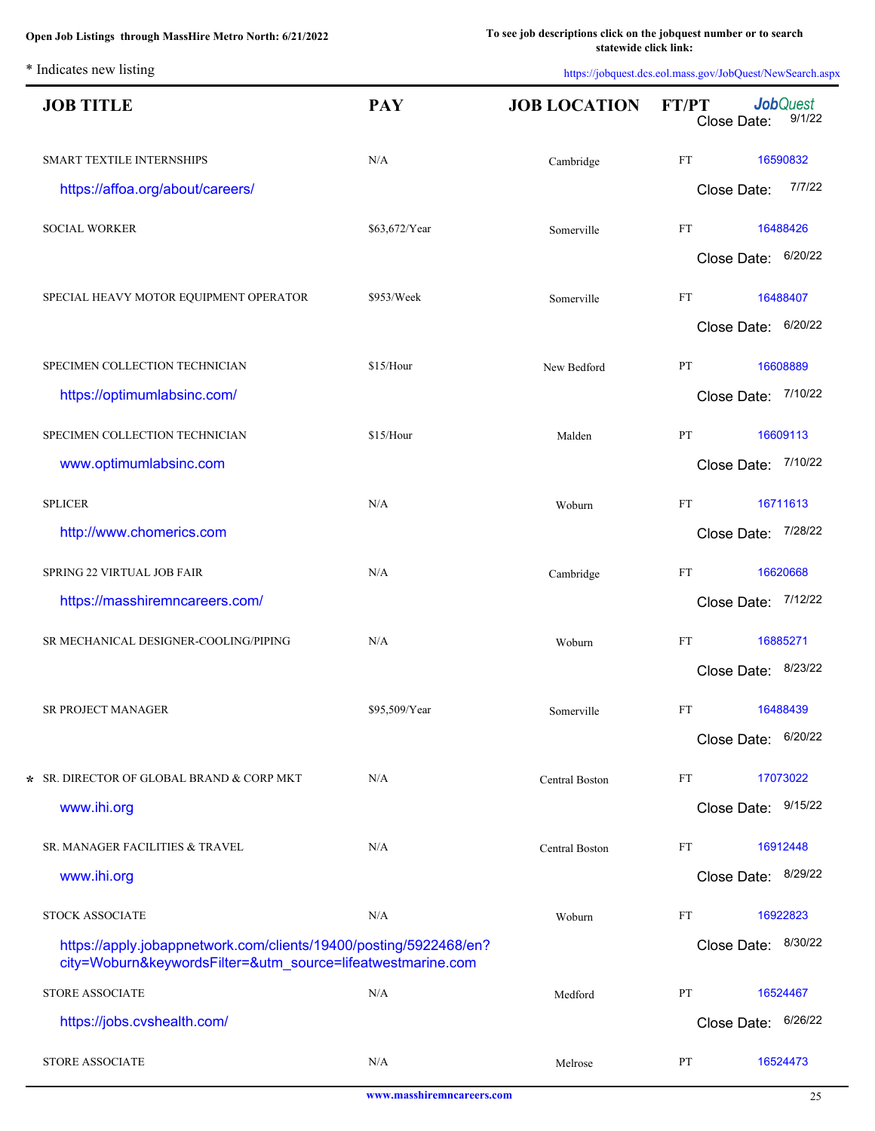| <b>JOB TITLE</b>                                                                                                                 | <b>PAY</b>    | <b>JOB LOCATION</b> | FT/PT     | Close Date:         | <b>Job</b> Quest<br>9/1/22 |
|----------------------------------------------------------------------------------------------------------------------------------|---------------|---------------------|-----------|---------------------|----------------------------|
| SMART TEXTILE INTERNSHIPS                                                                                                        | N/A           | Cambridge           | FT        |                     | 16590832                   |
| https://affoa.org/about/careers/                                                                                                 |               |                     |           | Close Date:         | 7/7/22                     |
| <b>SOCIAL WORKER</b>                                                                                                             | \$63,672/Year | Somerville          | FT        |                     | 16488426                   |
|                                                                                                                                  |               |                     |           | Close Date: 6/20/22 |                            |
| SPECIAL HEAVY MOTOR EQUIPMENT OPERATOR                                                                                           | \$953/Week    | Somerville          | FT        |                     | 16488407                   |
|                                                                                                                                  |               |                     |           | Close Date: 6/20/22 |                            |
| SPECIMEN COLLECTION TECHNICIAN                                                                                                   | \$15/Hour     | New Bedford         | PT        |                     | 16608889                   |
| https://optimumlabsinc.com/                                                                                                      |               |                     |           | Close Date: 7/10/22 |                            |
| SPECIMEN COLLECTION TECHNICIAN                                                                                                   | \$15/Hour     | Malden              | PT        |                     | 16609113                   |
| www.optimumlabsinc.com                                                                                                           |               |                     |           | Close Date: 7/10/22 |                            |
| <b>SPLICER</b>                                                                                                                   | N/A           | Woburn              | <b>FT</b> |                     | 16711613                   |
| http://www.chomerics.com                                                                                                         |               |                     |           | Close Date:         | 7/28/22                    |
| SPRING 22 VIRTUAL JOB FAIR                                                                                                       | N/A           | Cambridge           | <b>FT</b> |                     | 16620668                   |
| https://masshiremncareers.com/                                                                                                   |               |                     |           | Close Date:         | 7/12/22                    |
| SR MECHANICAL DESIGNER-COOLING/PIPING                                                                                            | N/A           | Woburn              | FT        |                     | 16885271                   |
|                                                                                                                                  |               |                     |           | Close Date: 8/23/22 |                            |
| SR PROJECT MANAGER                                                                                                               | \$95,509/Year | Somerville          | FT        | 16488439            |                            |
|                                                                                                                                  |               |                     |           | Close Date: 6/20/22 |                            |
| * SR. DIRECTOR OF GLOBAL BRAND & CORP MKT                                                                                        | N/A           | Central Boston      | FT        |                     | 17073022                   |
| www.ihi.org                                                                                                                      |               |                     |           | Close Date:         | 9/15/22                    |
| SR. MANAGER FACILITIES & TRAVEL                                                                                                  | N/A           | Central Boston      | FT        |                     | 16912448                   |
| www.ihi.org                                                                                                                      |               |                     |           | Close Date:         | 8/29/22                    |
| STOCK ASSOCIATE                                                                                                                  | N/A           | Woburn              | FT        |                     | 16922823                   |
| https://apply.jobappnetwork.com/clients/19400/posting/5922468/en?<br>city=Woburn&keywordsFilter=&utm_source=lifeatwestmarine.com |               |                     |           | Close Date:         | 8/30/22                    |
| STORE ASSOCIATE                                                                                                                  | N/A           | Medford             | PT        |                     | 16524467                   |
| https://jobs.cvshealth.com/                                                                                                      |               |                     |           | Close Date: 6/26/22 |                            |
| <b>STORE ASSOCIATE</b>                                                                                                           | N/A           | Melrose             | PT        |                     | 16524473                   |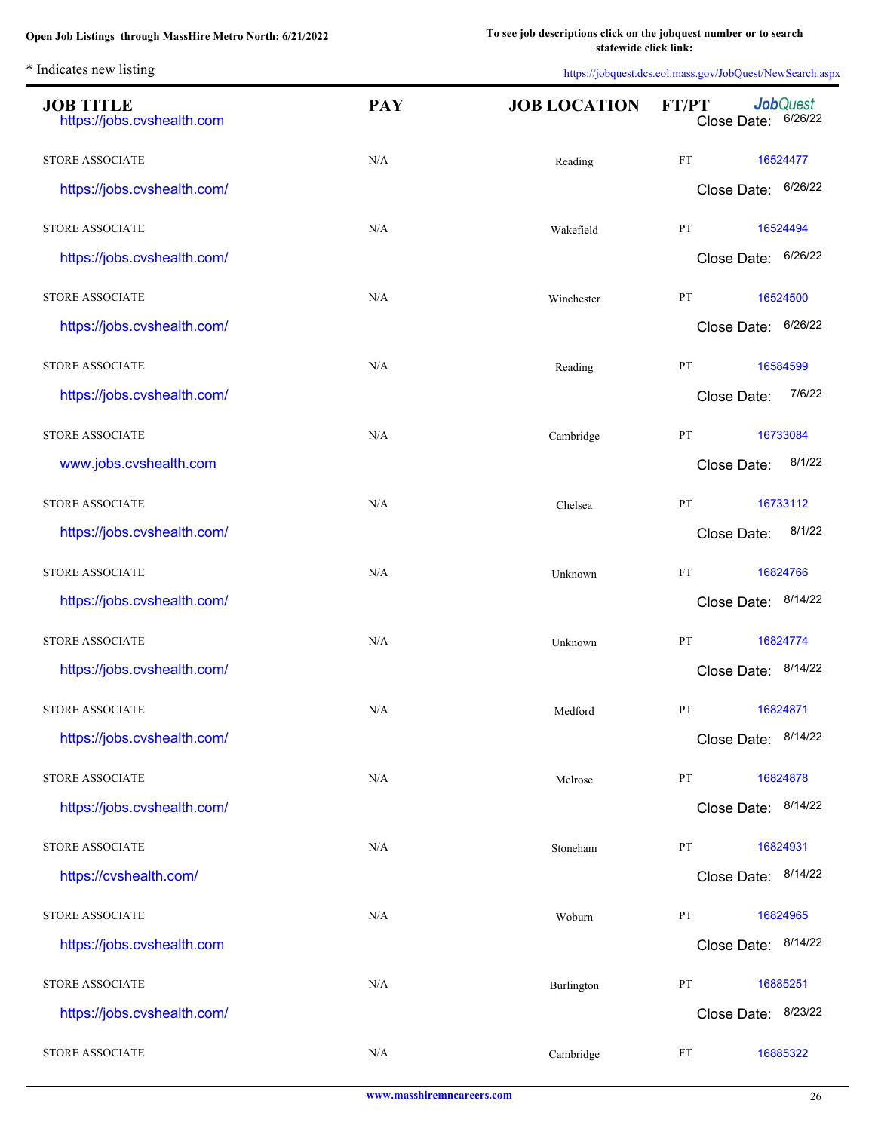| <b>JOB TITLE</b><br>https://jobs.cvshealth.com | <b>PAY</b> | <b>JOB LOCATION</b> | <b>Job</b> Quest<br>FT/PT<br>Close Date: 6/26/22 |
|------------------------------------------------|------------|---------------------|--------------------------------------------------|
| <b>STORE ASSOCIATE</b>                         | N/A        | Reading             | FT<br>16524477                                   |
| https://jobs.cvshealth.com/                    |            |                     | Close Date: 6/26/22                              |
| <b>STORE ASSOCIATE</b>                         | N/A        | Wakefield           | PT<br>16524494                                   |
| https://jobs.cvshealth.com/                    |            |                     | Close Date: 6/26/22                              |
| <b>STORE ASSOCIATE</b>                         | N/A        | Winchester          | PT<br>16524500                                   |
| https://jobs.cvshealth.com/                    |            |                     | Close Date: 6/26/22                              |
| <b>STORE ASSOCIATE</b>                         | N/A        | Reading             | PT<br>16584599                                   |
| https://jobs.cvshealth.com/                    |            |                     | 7/6/22<br>Close Date:                            |
| <b>STORE ASSOCIATE</b>                         | N/A        | Cambridge           | PT<br>16733084                                   |
| www.jobs.cvshealth.com                         |            |                     | 8/1/22<br>Close Date:                            |
| <b>STORE ASSOCIATE</b>                         | N/A        | Chelsea             | PT<br>16733112                                   |
| https://jobs.cvshealth.com/                    |            |                     | 8/1/22<br>Close Date:                            |
| <b>STORE ASSOCIATE</b>                         | N/A        | Unknown             | 16824766<br>FT                                   |
| https://jobs.cvshealth.com/                    |            |                     | Close Date: 8/14/22                              |
| <b>STORE ASSOCIATE</b>                         | N/A        | Unknown             | PT<br>16824774                                   |
| https://jobs.cvshealth.com/                    |            |                     | Close Date: 8/14/22                              |
| <b>STORE ASSOCIATE</b>                         | N/A        | Medford             | PT<br>16824871                                   |
| https://jobs.cvshealth.com/                    |            |                     | Close Date: 8/14/22                              |
| <b>STORE ASSOCIATE</b>                         | $\rm N/A$  | Melrose             | 16824878<br>PT                                   |
| https://jobs.cvshealth.com/                    |            |                     | Close Date: 8/14/22                              |
| <b>STORE ASSOCIATE</b>                         | $\rm N/A$  | Stoneham            | 16824931<br>PT                                   |
| https://cvshealth.com/                         |            |                     | Close Date: 8/14/22                              |
| <b>STORE ASSOCIATE</b>                         | $\rm N/A$  | Woburn              | PT<br>16824965                                   |
| https://jobs.cvshealth.com                     |            |                     | Close Date: 8/14/22                              |
| <b>STORE ASSOCIATE</b>                         | N/A        | Burlington          | PT<br>16885251                                   |
| https://jobs.cvshealth.com/                    |            |                     | Close Date: 8/23/22                              |
| <b>STORE ASSOCIATE</b>                         | N/A        | Cambridge           | 16885322<br>FT                                   |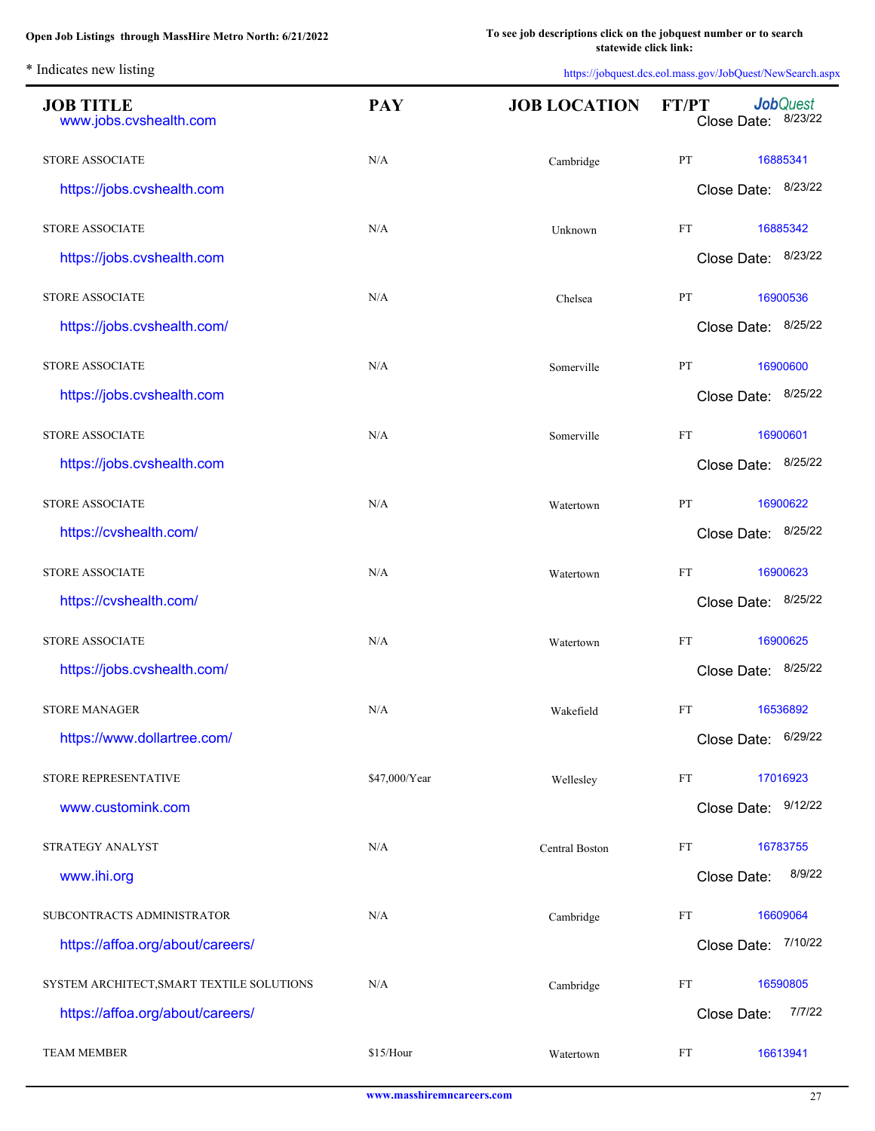L.

| <b>JOB TITLE</b><br>www.jobs.cvshealth.com | <b>PAY</b>    | <b>JOB LOCATION</b> | <b>Job</b> Quest<br><b>FT/PT</b><br>Close Date: 8/23/22 |
|--------------------------------------------|---------------|---------------------|---------------------------------------------------------|
| <b>STORE ASSOCIATE</b>                     | N/A           | Cambridge           | PT<br>16885341                                          |
| https://jobs.cvshealth.com                 |               |                     | Close Date: 8/23/22                                     |
| <b>STORE ASSOCIATE</b>                     | N/A           | Unknown             | FT<br>16885342                                          |
| https://jobs.cvshealth.com                 |               |                     | Close Date: 8/23/22                                     |
| <b>STORE ASSOCIATE</b>                     | N/A           | Chelsea             | PT<br>16900536                                          |
| https://jobs.cvshealth.com/                |               |                     | Close Date: 8/25/22                                     |
| <b>STORE ASSOCIATE</b>                     | N/A           | Somerville          | PT<br>16900600                                          |
| https://jobs.cvshealth.com                 |               |                     | Close Date: 8/25/22                                     |
| <b>STORE ASSOCIATE</b>                     | N/A           | Somerville          | FT<br>16900601                                          |
| https://jobs.cvshealth.com                 |               |                     | Close Date: 8/25/22                                     |
| <b>STORE ASSOCIATE</b>                     | N/A           | Watertown           | PT<br>16900622                                          |
| https://cvshealth.com/                     |               |                     | 8/25/22<br>Close Date:                                  |
| <b>STORE ASSOCIATE</b>                     | N/A           | Watertown           | FT<br>16900623                                          |
| https://cvshealth.com/                     |               |                     | 8/25/22<br>Close Date:                                  |
| <b>STORE ASSOCIATE</b>                     | N/A           | Watertown           | FT<br>16900625                                          |
| https://jobs.cvshealth.com/                |               |                     | 8/25/22<br>Close Date:                                  |
| <b>STORE MANAGER</b>                       | N/A           | Wakefield           | <b>FT</b><br>16536892                                   |
| https://www.dollartree.com/                |               |                     | 6/29/22<br>Close Date:                                  |
| STORE REPRESENTATIVE                       | \$47,000/Year | Wellesley           | FT<br>17016923                                          |
| www.customink.com                          |               |                     | 9/12/22<br>Close Date:                                  |
| STRATEGY ANALYST                           | N/A           | Central Boston      | FT<br>16783755                                          |
| www.ihi.org                                |               |                     | 8/9/22<br>Close Date:                                   |
| SUBCONTRACTS ADMINISTRATOR                 | N/A           | Cambridge           | FT<br>16609064                                          |
| https://affoa.org/about/careers/           |               |                     | 7/10/22<br>Close Date:                                  |
| SYSTEM ARCHITECT, SMART TEXTILE SOLUTIONS  | N/A           | Cambridge           | FT<br>16590805                                          |
| https://affoa.org/about/careers/           |               |                     | 7/7/22<br>Close Date:                                   |
| <b>TEAM MEMBER</b>                         | \$15/Hour     | Watertown           | FT<br>16613941                                          |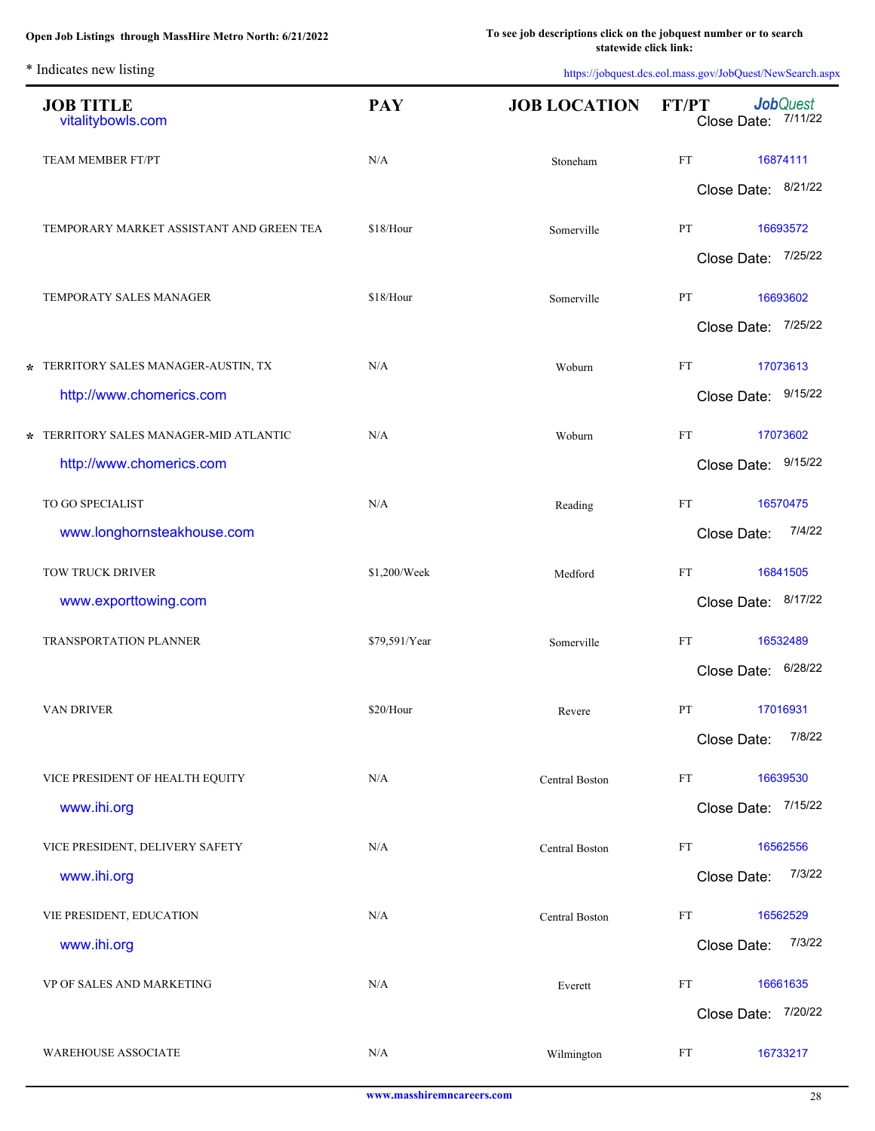| <b>JOB TITLE</b><br>vitalitybowls.com          | <b>PAY</b>    | <b>JOB LOCATION</b> | <b>FT/PT</b><br>Close Date: |                        | <b>Job</b> Quest<br>7/11/22 |
|------------------------------------------------|---------------|---------------------|-----------------------------|------------------------|-----------------------------|
| TEAM MEMBER FT/PT                              | N/A           | Stoneham            | FT                          |                        | 16874111                    |
|                                                |               |                     | Close Date: 8/21/22         |                        |                             |
| TEMPORARY MARKET ASSISTANT AND GREEN TEA       | \$18/Hour     | Somerville          | PT                          |                        | 16693572                    |
|                                                |               |                     | Close Date: 7/25/22         |                        |                             |
| TEMPORATY SALES MANAGER                        | \$18/Hour     | Somerville          | PT<br>Close Date: 7/25/22   |                        | 16693602                    |
| * TERRITORY SALES MANAGER-AUSTIN, TX           | N/A           |                     | FT                          |                        | 17073613                    |
| http://www.chomerics.com                       |               | Woburn              | Close Date: 9/15/22         |                        |                             |
| * TERRITORY SALES MANAGER-MID ATLANTIC         | N/A           | Woburn              | FT                          |                        | 17073602                    |
| http://www.chomerics.com                       |               |                     | Close Date: 9/15/22         |                        |                             |
| TO GO SPECIALIST                               | N/A           | Reading             | FT                          |                        | 16570475                    |
| www.longhornsteakhouse.com                     |               |                     | Close Date:                 |                        | 7/4/22                      |
| TOW TRUCK DRIVER                               | \$1,200/Week  | Medford             | FT                          |                        | 16841505                    |
| www.exporttowing.com                           |               |                     | Close Date:                 |                        | 8/17/22                     |
| TRANSPORTATION PLANNER                         | \$79,591/Year | Somerville          | FT                          |                        | 16532489                    |
|                                                |               |                     |                             | 6/28/22<br>Close Date: |                             |
| VAN DRIVER                                     | \$20/Hour     | Revere              | PT                          |                        | 17016931                    |
|                                                |               |                     | Close Date:                 |                        | 7/8/22                      |
| VICE PRESIDENT OF HEALTH EQUITY                | N/A           | Central Boston      | FT                          |                        | 16639530<br>7/15/22         |
| www.ihi.org                                    |               |                     | Close Date:                 |                        |                             |
| VICE PRESIDENT, DELIVERY SAFETY<br>www.ihi.org | N/A           | Central Boston      | FT<br>Close Date:           |                        | 16562556<br>7/3/22          |
|                                                |               |                     |                             |                        |                             |
| VIE PRESIDENT, EDUCATION<br>www.ihi.org        | N/A           | Central Boston      | FT<br>Close Date:           |                        | 16562529<br>7/3/22          |
| VP OF SALES AND MARKETING                      | N/A           | Everett             | $\mathop{\text{FT}}$        |                        | 16661635                    |
|                                                |               |                     | Close Date: 7/20/22         |                        |                             |
| WAREHOUSE ASSOCIATE                            | N/A           | Wilmington          | FT                          |                        | 16733217                    |